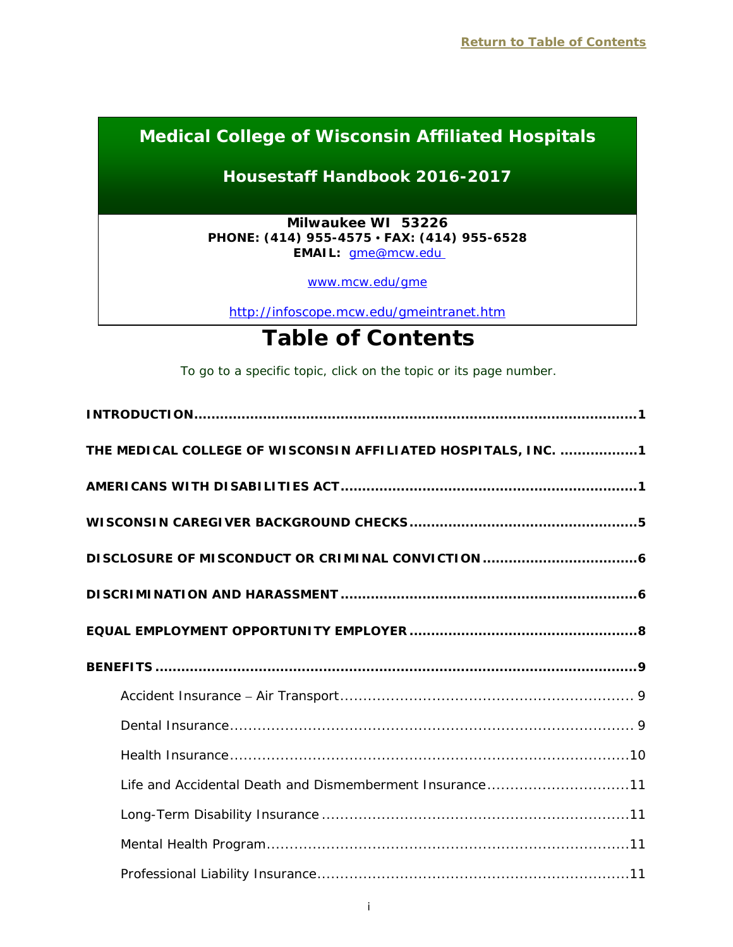# **Medical College of Wisconsin Affiliated Hospitals**

# **Housestaff Handbook 2016-2017**

**Milwaukee WI 53226 PHONE: (414) 955-4575 • FAX: (414) 955-6528 EMAIL:** [gme@mcw.edu](mailto:gme@mcw.edu)

[www.mcw.edu/gme](http://www.mcw.edu/gme)

<http://infoscope.mcw.edu/gmeintranet.htm>

# **Table of Contents**

*To go to a specific topic, click on the topic or its page number.*

<span id="page-0-0"></span>

| THE MEDICAL COLLEGE OF WISCONSIN AFFILIATED HOSPITALS, INC. 1 |
|---------------------------------------------------------------|
|                                                               |
|                                                               |
|                                                               |
|                                                               |
|                                                               |
|                                                               |
|                                                               |
|                                                               |
|                                                               |
|                                                               |
| Life and Accidental Death and Dismemberment Insurance11       |
|                                                               |
|                                                               |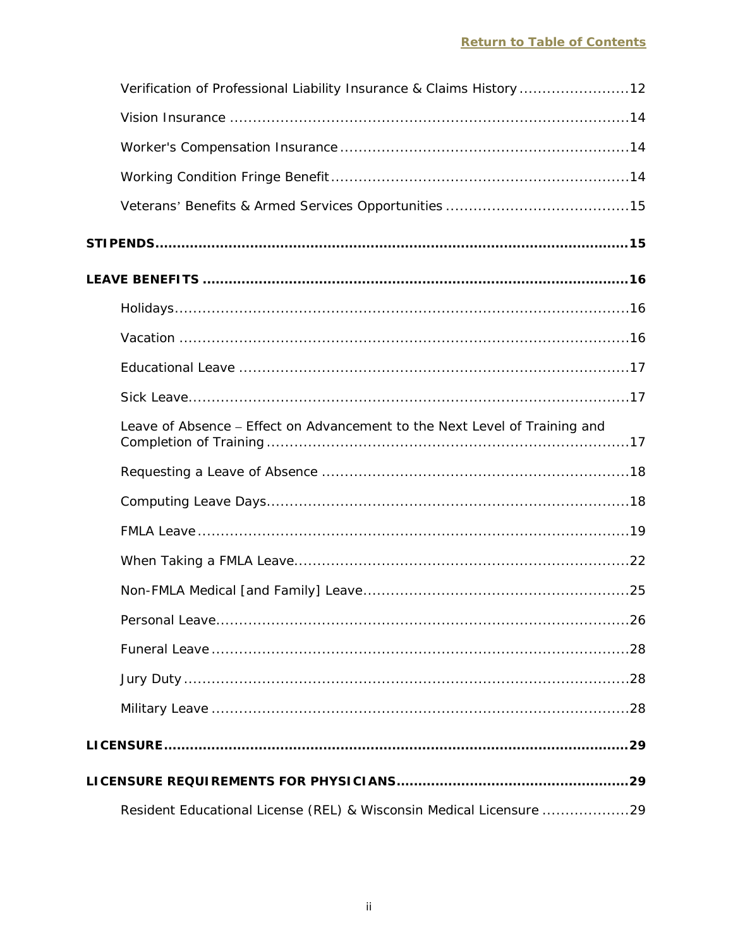| Verification of Professional Liability Insurance & Claims History 12       |
|----------------------------------------------------------------------------|
|                                                                            |
|                                                                            |
|                                                                            |
|                                                                            |
|                                                                            |
|                                                                            |
|                                                                            |
|                                                                            |
|                                                                            |
|                                                                            |
| Leave of Absence - Effect on Advancement to the Next Level of Training and |
|                                                                            |
|                                                                            |
|                                                                            |
|                                                                            |
|                                                                            |
|                                                                            |
|                                                                            |
|                                                                            |
|                                                                            |
|                                                                            |
|                                                                            |
| Resident Educational License (REL) & Wisconsin Medical Licensure 29        |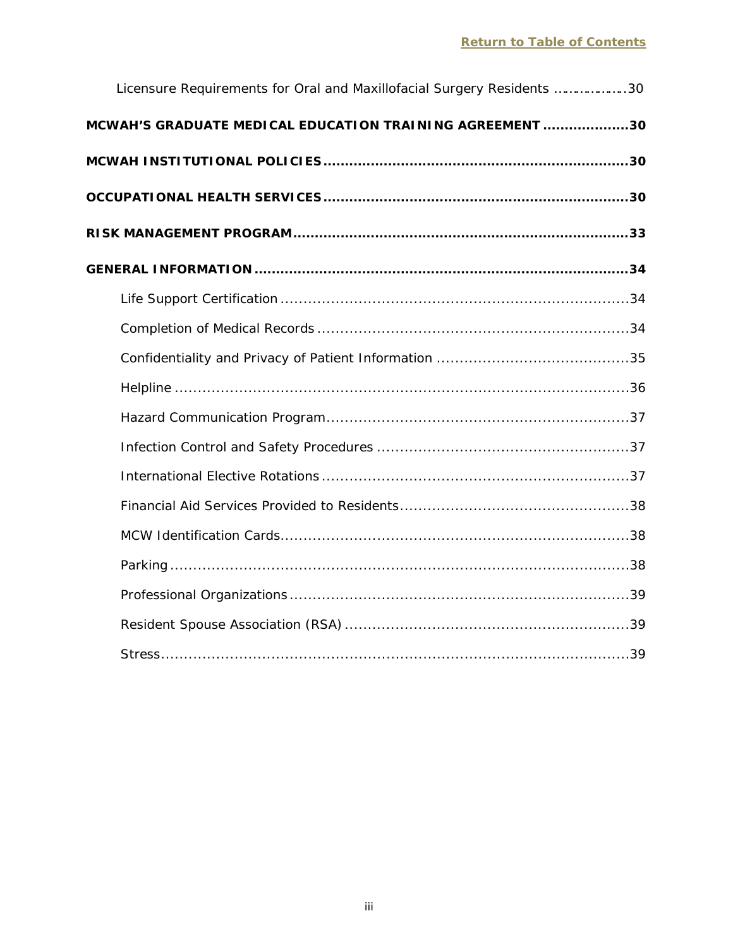| Licensure Requirements for Oral and Maxillofacial Surgery Residents 30 |  |
|------------------------------------------------------------------------|--|
| MCWAH'S GRADUATE MEDICAL EDUCATION TRAINING AGREEMENT 30               |  |
|                                                                        |  |
|                                                                        |  |
|                                                                        |  |
|                                                                        |  |
|                                                                        |  |
|                                                                        |  |
|                                                                        |  |
|                                                                        |  |
|                                                                        |  |
|                                                                        |  |
|                                                                        |  |
|                                                                        |  |
|                                                                        |  |
|                                                                        |  |
|                                                                        |  |
|                                                                        |  |
|                                                                        |  |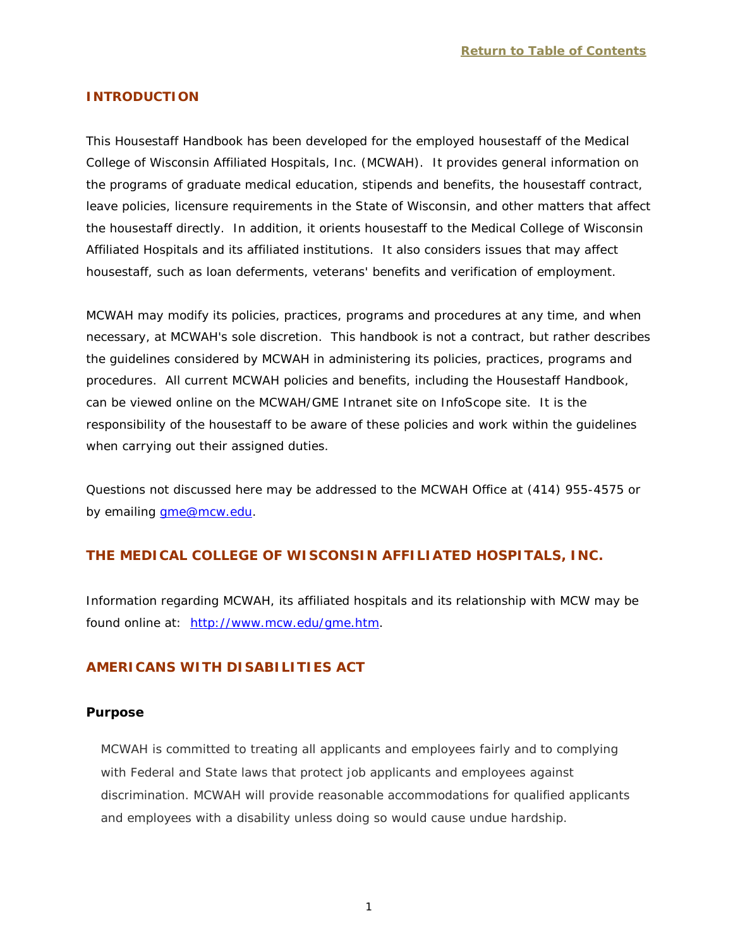## <span id="page-3-0"></span>**INTRODUCTION**

This Housestaff Handbook has been developed for the employed housestaff of the Medical College of Wisconsin Affiliated Hospitals, Inc. (MCWAH). It provides general information on the programs of graduate medical education, stipends and benefits, the housestaff contract, leave policies, licensure requirements in the State of Wisconsin, and other matters that affect the housestaff directly. In addition, it orients housestaff to the Medical College of Wisconsin Affiliated Hospitals and its affiliated institutions. It also considers issues that may affect housestaff, such as loan deferments, veterans' benefits and verification of employment.

MCWAH may modify its policies, practices, programs and procedures at any time, and when necessary, at MCWAH's sole discretion. This handbook is not a contract, but rather describes the guidelines considered by MCWAH in administering its policies, practices, programs and procedures. All current MCWAH policies and benefits, including the Housestaff Handbook, can be viewed online on the MCWAH/GME Intranet site on InfoScope site. It is the responsibility of the housestaff to be aware of these policies and work within the guidelines when carrying out their assigned duties.

Questions not discussed here may be addressed to the MCWAH Office at (414) 955-4575 or by emailing [gme@mcw.edu.](mailto:gme@mcw.edu)

# <span id="page-3-1"></span>**THE MEDICAL COLLEGE OF WISCONSIN AFFILIATED HOSPITALS, INC.**

Information regarding MCWAH, its affiliated hospitals and its relationship with MCW may be found online at: [http://www.mcw.edu/gme.htm.](http://www.mcw.edu/gme.htm)

# <span id="page-3-2"></span>**AMERICANS WITH DISABILITIES ACT**

#### **Purpose**

MCWAH is committed to treating all applicants and employees fairly and to complying with Federal and State laws that protect job applicants and employees against discrimination. MCWAH will provide reasonable accommodations for qualified applicants and employees with a disability unless doing so would cause undue hardship.

1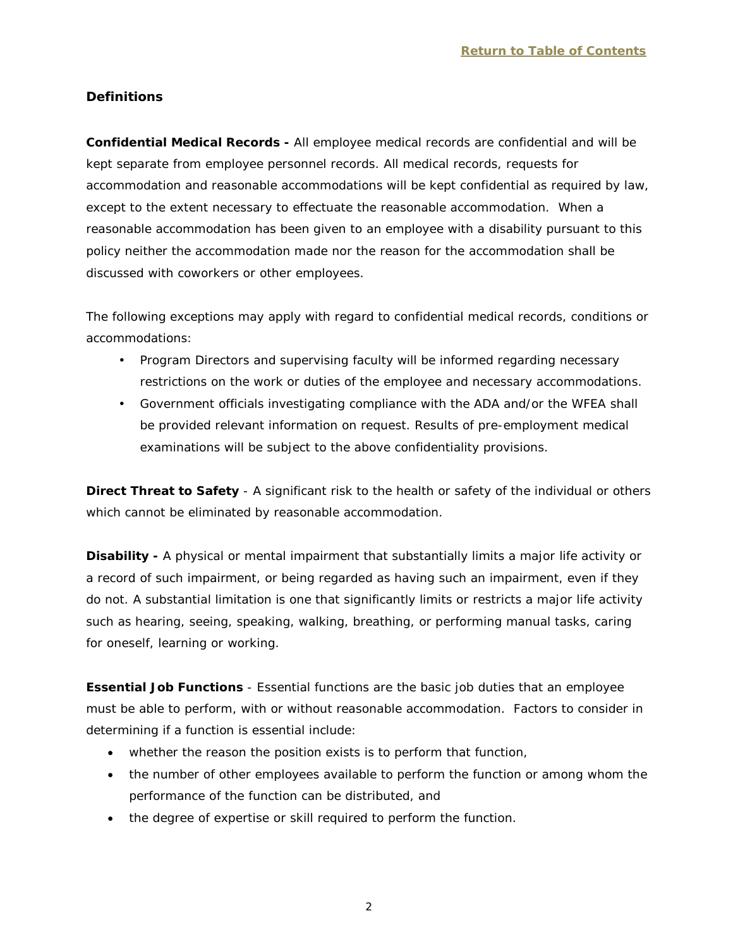# **Definitions**

**Confidential Medical Records -** All employee medical records are confidential and will be kept separate from employee personnel records. All medical records, requests for accommodation and reasonable accommodations will be kept confidential as required by law, except to the extent necessary to effectuate the reasonable accommodation. When a reasonable accommodation has been given to an employee with a disability pursuant to this policy neither the accommodation made nor the reason for the accommodation shall be discussed with coworkers or other employees.

The following exceptions may apply with regard to confidential medical records, conditions or accommodations:

- Program Directors and supervising faculty will be informed regarding necessary restrictions on the work or duties of the employee and necessary accommodations.
- Government officials investigating compliance with the ADA and/or the WFEA shall be provided relevant information on request. Results of pre-employment medical examinations will be subject to the above confidentiality provisions.

**Direct Threat to Safety** - A significant risk to the health or safety of the individual or others which cannot be eliminated by reasonable accommodation.

**Disability -** A physical or mental impairment that substantially limits a major life activity or a record of such impairment, or being regarded as having such an impairment, even if they do not. A substantial limitation is one that significantly limits or restricts a major life activity such as hearing, seeing, speaking, walking, breathing, or performing manual tasks, caring for oneself, learning or working.

**Essential Job Functions** - Essential functions are the basic job duties that an employee must be able to perform, with or without reasonable accommodation. Factors to consider in determining if a function is essential include:

- whether the reason the position exists is to perform that function,
- the number of other employees available to perform the function or among whom the performance of the function can be distributed, and
- the degree of expertise or skill required to perform the function.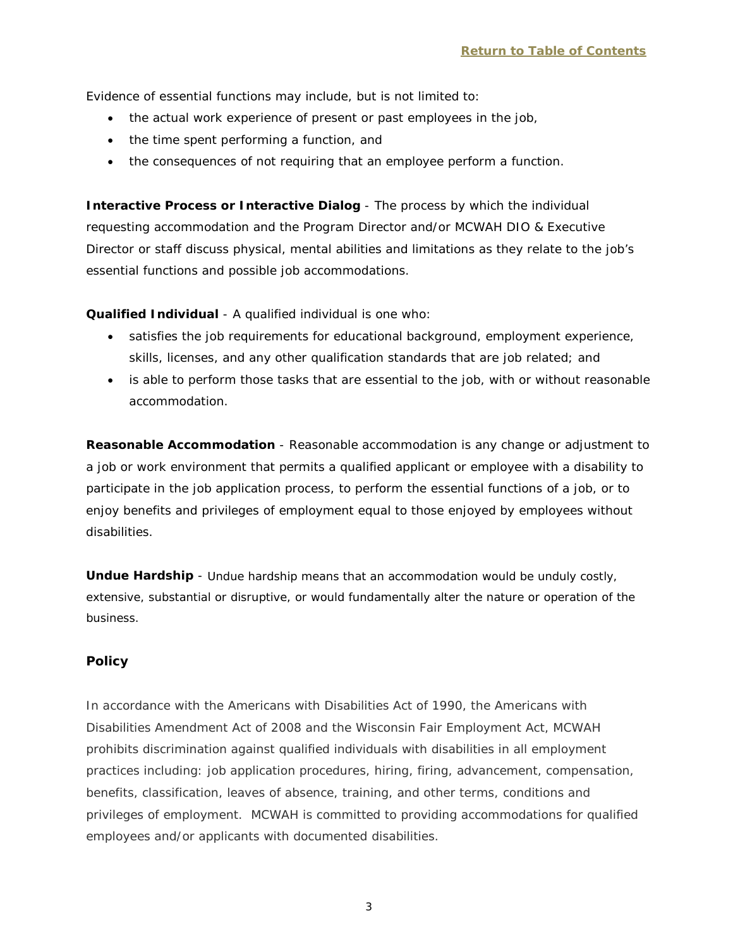Evidence of essential functions may include, but is not limited to:

- the actual work experience of present or past employees in the job,
- the time spent performing a function, and
- the consequences of not requiring that an employee perform a function.

**Interactive Process or Interactive Dialog** - The process by which the individual requesting accommodation and the Program Director and/or MCWAH DIO & Executive Director or staff discuss physical, mental abilities and limitations as they relate to the job's essential functions and possible job accommodations.

## **Qualified Individual** - A qualified individual is one who:

- satisfies the job requirements for educational background, employment experience, skills, licenses, and any other qualification standards that are job related; and
- is able to perform those tasks that are essential to the job, with or without reasonable accommodation.

**Reasonable Accommodation** - Reasonable accommodation is any change or adjustment to a job or work environment that permits a qualified applicant or employee with a disability to participate in the job application process, to perform the essential functions of a job, or to enjoy benefits and privileges of employment equal to those enjoyed by employees without disabilities.

**Undue Hardship** - Undue hardship means that an accommodation would be unduly costly, extensive, substantial or disruptive, or would fundamentally alter the nature or operation of the business.

# **Policy**

In accordance with the Americans with Disabilities Act of 1990, the Americans with Disabilities Amendment Act of 2008 and the Wisconsin Fair Employment Act, MCWAH prohibits discrimination against qualified individuals with disabilities in all employment practices including: job application procedures, hiring, firing, advancement, compensation, benefits, classification, leaves of absence, training, and other terms, conditions and privileges of employment. MCWAH is committed to providing accommodations for qualified employees and/or applicants with documented disabilities.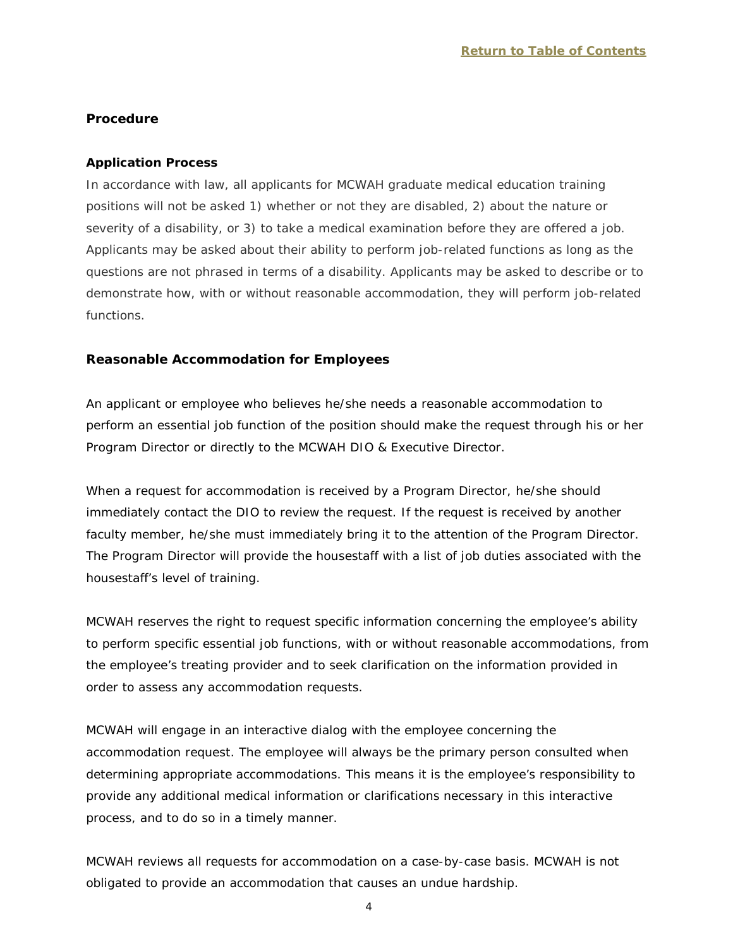#### **Procedure**

#### **Application Process**

In accordance with law, all applicants for MCWAH graduate medical education training positions will not be asked 1) whether or not they are disabled, 2) about the nature or severity of a disability, or 3) to take a medical examination before they are offered a job. Applicants may be asked about their ability to perform job-related functions as long as the questions are not phrased in terms of a disability. Applicants may be asked to describe or to demonstrate how, with or without reasonable accommodation, they will perform job-related functions.

#### **Reasonable Accommodation for Employees**

An applicant or employee who believes he/she needs a reasonable accommodation to perform an essential job function of the position should make the request through his or her Program Director or directly to the MCWAH DIO & Executive Director.

When a request for accommodation is received by a Program Director, he/she should immediately contact the DIO to review the request. If the request is received by another faculty member, he/she must immediately bring it to the attention of the Program Director. The Program Director will provide the housestaff with a list of job duties associated with the housestaff's level of training.

MCWAH reserves the right to request specific information concerning the employee's ability to perform specific essential job functions, with or without reasonable accommodations, from the employee's treating provider and to seek clarification on the information provided in order to assess any accommodation requests.

MCWAH will engage in an interactive dialog with the employee concerning the accommodation request. The employee will always be the primary person consulted when determining appropriate accommodations. This means it is the employee's responsibility to provide any additional medical information or clarifications necessary in this interactive process, and to do so in a timely manner.

MCWAH reviews all requests for accommodation on a case-by-case basis. MCWAH is not obligated to provide an accommodation that causes an undue hardship.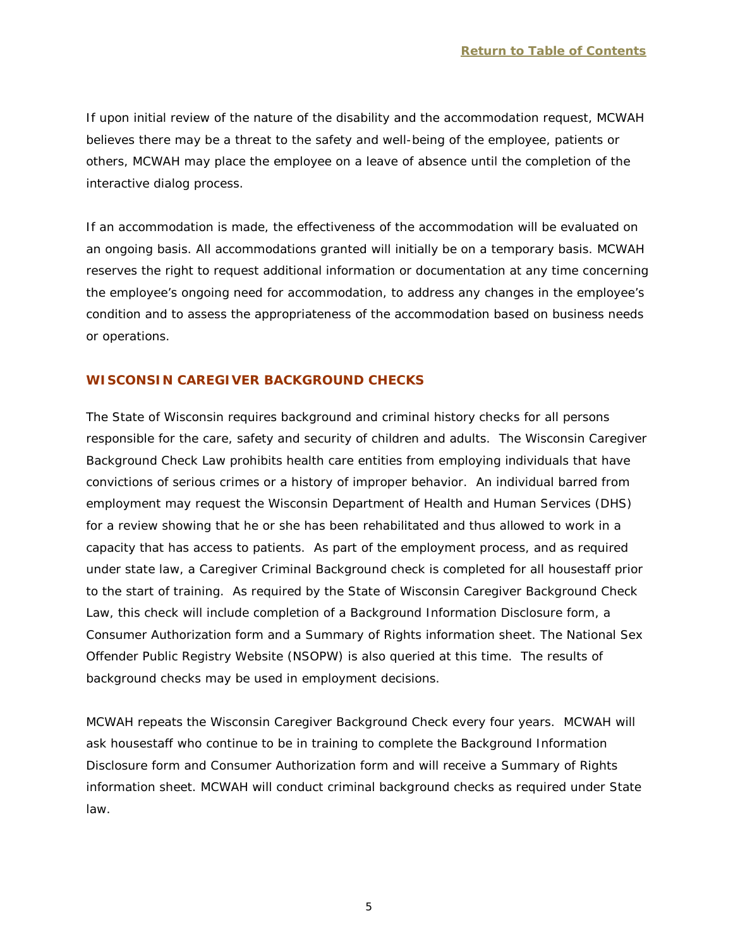If upon initial review of the nature of the disability and the accommodation request, MCWAH believes there may be a threat to the safety and well-being of the employee, patients or others, MCWAH may place the employee on a leave of absence until the completion of the interactive dialog process.

If an accommodation is made, the effectiveness of the accommodation will be evaluated on an ongoing basis. All accommodations granted will initially be on a temporary basis. MCWAH reserves the right to request additional information or documentation at any time concerning the employee's ongoing need for accommodation, to address any changes in the employee's condition and to assess the appropriateness of the accommodation based on business needs or operations.

## <span id="page-7-0"></span>**WISCONSIN CAREGIVER BACKGROUND CHECKS**

The State of Wisconsin requires background and criminal history checks for all persons responsible for the care, safety and security of children and adults. The Wisconsin Caregiver Background Check Law prohibits health care entities from employing individuals that have convictions of serious crimes or a history of improper behavior. An individual barred from employment may request the Wisconsin Department of Health and Human Services (DHS) for a review showing that he or she has been rehabilitated and thus allowed to work in a capacity that has access to patients. As part of the employment process, and as required under state law, a Caregiver Criminal Background check is completed for all housestaff prior to the start of training. As required by the State of Wisconsin Caregiver Background Check Law, this check will include completion of a Background Information Disclosure form, a Consumer Authorization form and a Summary of Rights information sheet. The National Sex Offender Public Registry Website (NSOPW) is also queried at this time. The results of background checks may be used in employment decisions.

MCWAH repeats the Wisconsin Caregiver Background Check every four years. MCWAH will ask housestaff who continue to be in training to complete the Background Information Disclosure form and Consumer Authorization form and will receive a Summary of Rights information sheet. MCWAH will conduct criminal background checks as required under State law.

5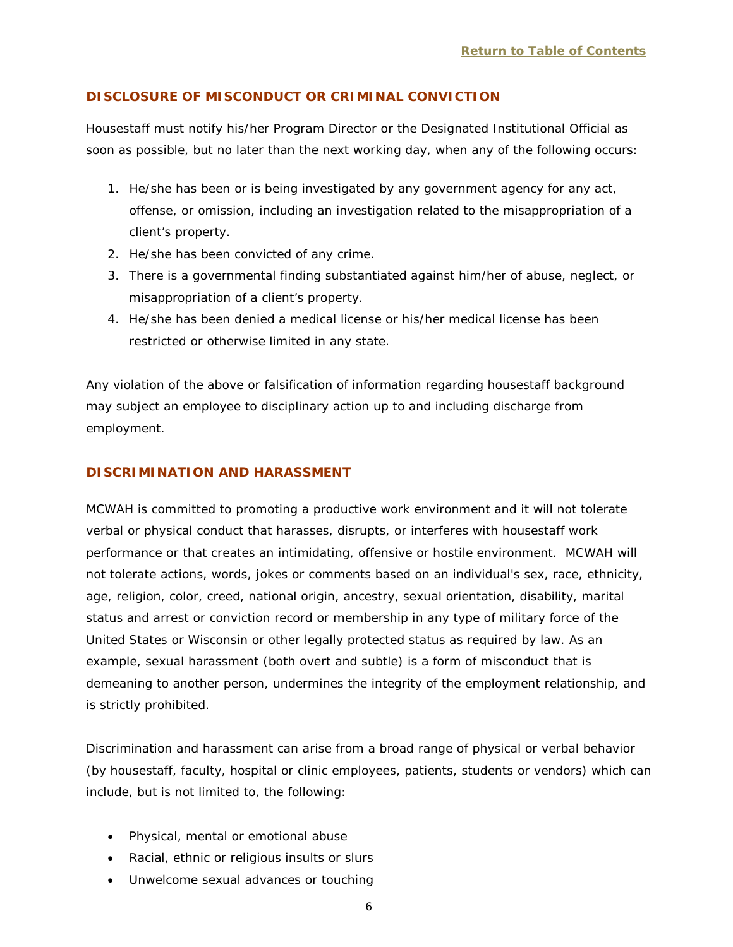#### <span id="page-8-0"></span>**DISCLOSURE OF MISCONDUCT OR CRIMINAL CONVICTION**

Housestaff must notify his/her Program Director or the Designated Institutional Official as soon as possible, but no later than the next working day, when any of the following occurs:

- 1. He/she has been or is being investigated by any government agency for any act, offense, or omission, including an investigation related to the misappropriation of a client's property.
- 2. He/she has been convicted of any crime.
- 3. There is a governmental finding substantiated against him/her of abuse, neglect, or misappropriation of a client's property.
- 4. He/she has been denied a medical license or his/her medical license has been restricted or otherwise limited in any state.

Any violation of the above or falsification of information regarding housestaff background may subject an employee to disciplinary action up to and including discharge from employment.

#### <span id="page-8-1"></span>**DISCRIMINATION AND HARASSMENT**

MCWAH is committed to promoting a productive work environment and it will not tolerate verbal or physical conduct that harasses, disrupts, or interferes with housestaff work performance or that creates an intimidating, offensive or hostile environment. MCWAH will not tolerate actions, words, jokes or comments based on an individual's sex, race, ethnicity, age, religion, color, creed, national origin, ancestry, sexual orientation, disability, marital status and arrest or conviction record or membership in any type of military force of the United States or Wisconsin or other legally protected status as required by law. As an example, sexual harassment (both overt and subtle) is a form of misconduct that is demeaning to another person, undermines the integrity of the employment relationship, and is strictly prohibited.

Discrimination and harassment can arise from a broad range of physical or verbal behavior (by housestaff, faculty, hospital or clinic employees, patients, students or vendors) which can include, but is not limited to, the following:

- Physical, mental or emotional abuse
- Racial, ethnic or religious insults or slurs
- Unwelcome sexual advances or touching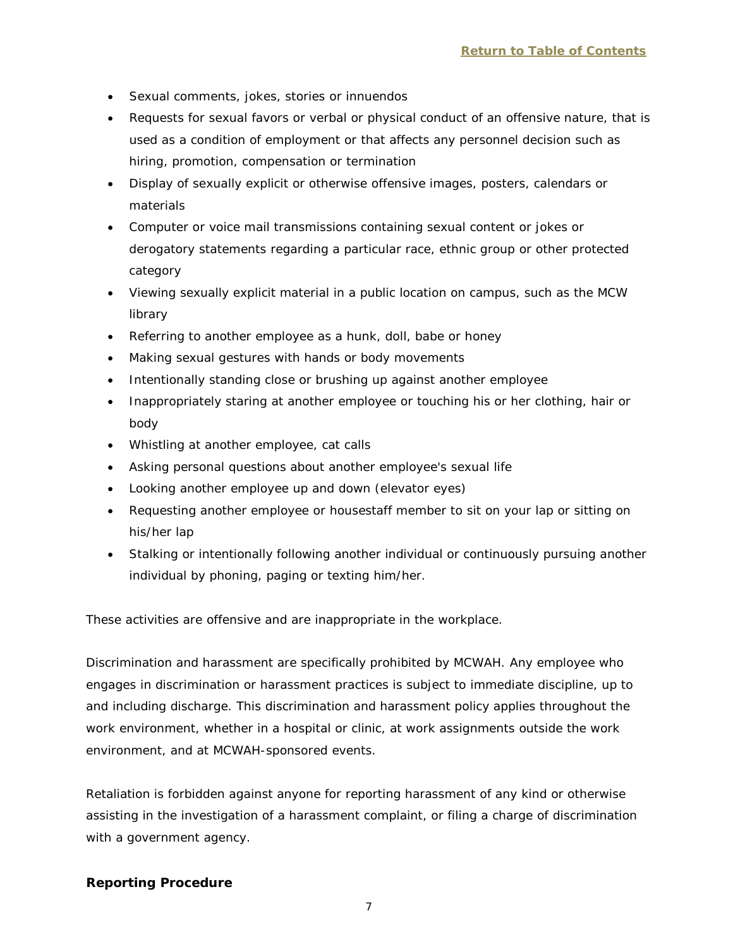- Sexual comments, jokes, stories or innuendos
- Requests for sexual favors or verbal or physical conduct of an offensive nature, that is used as a condition of employment or that affects any personnel decision such as hiring, promotion, compensation or termination
- Display of sexually explicit or otherwise offensive images, posters, calendars or materials
- Computer or voice mail transmissions containing sexual content or jokes or derogatory statements regarding a particular race, ethnic group or other protected category
- Viewing sexually explicit material in a public location on campus, such as the MCW library
- Referring to another employee as a hunk, doll, babe or honey
- Making sexual gestures with hands or body movements
- Intentionally standing close or brushing up against another employee
- Inappropriately staring at another employee or touching his or her clothing, hair or body
- Whistling at another employee, cat calls
- Asking personal questions about another employee's sexual life
- Looking another employee up and down (elevator eyes)
- Requesting another employee or housestaff member to sit on your lap or sitting on his/her lap
- Stalking or intentionally following another individual or continuously pursuing another individual by phoning, paging or texting him/her.

These activities are offensive and are inappropriate in the workplace.

Discrimination and harassment are specifically prohibited by MCWAH. Any employee who engages in discrimination or harassment practices is subject to immediate discipline, up to and including discharge. This discrimination and harassment policy applies throughout the work environment, whether in a hospital or clinic, at work assignments outside the work environment, and at MCWAH-sponsored events.

Retaliation is forbidden against anyone for reporting harassment of any kind or otherwise assisting in the investigation of a harassment complaint, or filing a charge of discrimination with a government agency.

## **Reporting Procedure**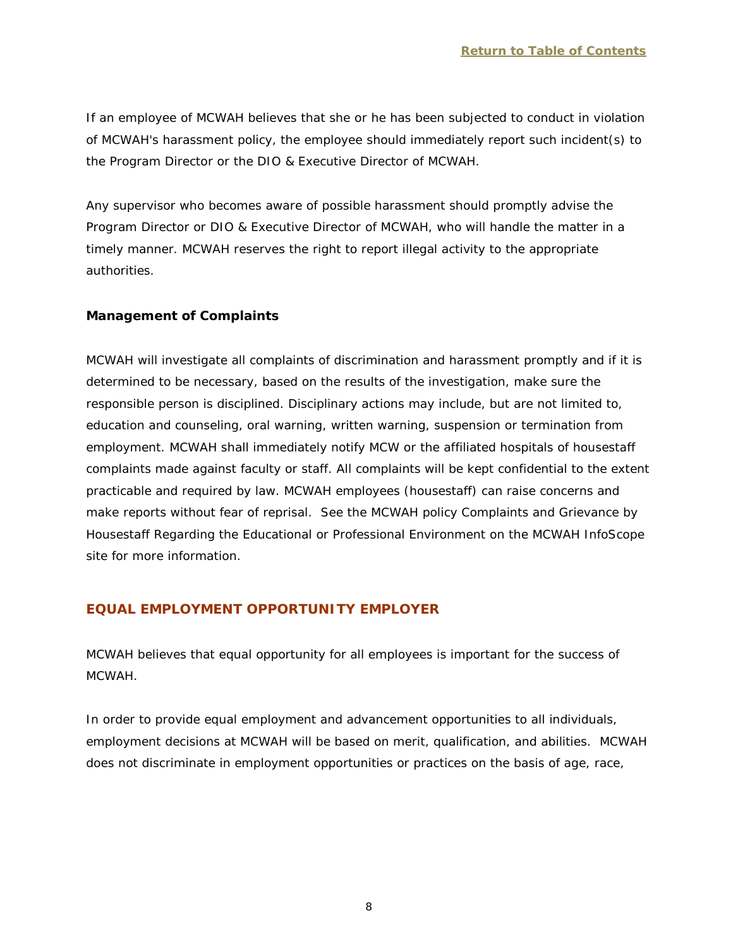If an employee of MCWAH believes that she or he has been subjected to conduct in violation of MCWAH's harassment policy, the employee should immediately report such incident(s) to the Program Director or the DIO & Executive Director of MCWAH.

Any supervisor who becomes aware of possible harassment should promptly advise the Program Director or DIO & Executive Director of MCWAH, who will handle the matter in a timely manner. MCWAH reserves the right to report illegal activity to the appropriate authorities.

# **Management of Complaints**

MCWAH will investigate all complaints of discrimination and harassment promptly and if it is determined to be necessary, based on the results of the investigation, make sure the responsible person is disciplined. Disciplinary actions may include, but are not limited to, education and counseling, oral warning, written warning, suspension or termination from employment. MCWAH shall immediately notify MCW or the affiliated hospitals of housestaff complaints made against faculty or staff. All complaints will be kept confidential to the extent practicable and required by law. MCWAH employees (housestaff) can raise concerns and make reports without fear of reprisal. See the MCWAH policy *Complaints and Grievance by Housestaff Regarding the Educational or Professional Environment* on the MCWAH InfoScope site for more information.

# <span id="page-10-0"></span>**EQUAL EMPLOYMENT OPPORTUNITY EMPLOYER**

MCWAH believes that equal opportunity for all employees is important for the success of MCWAH.

In order to provide equal employment and advancement opportunities to all individuals, employment decisions at MCWAH will be based on merit, qualification, and abilities. MCWAH does not discriminate in employment opportunities or practices on the basis of age, race,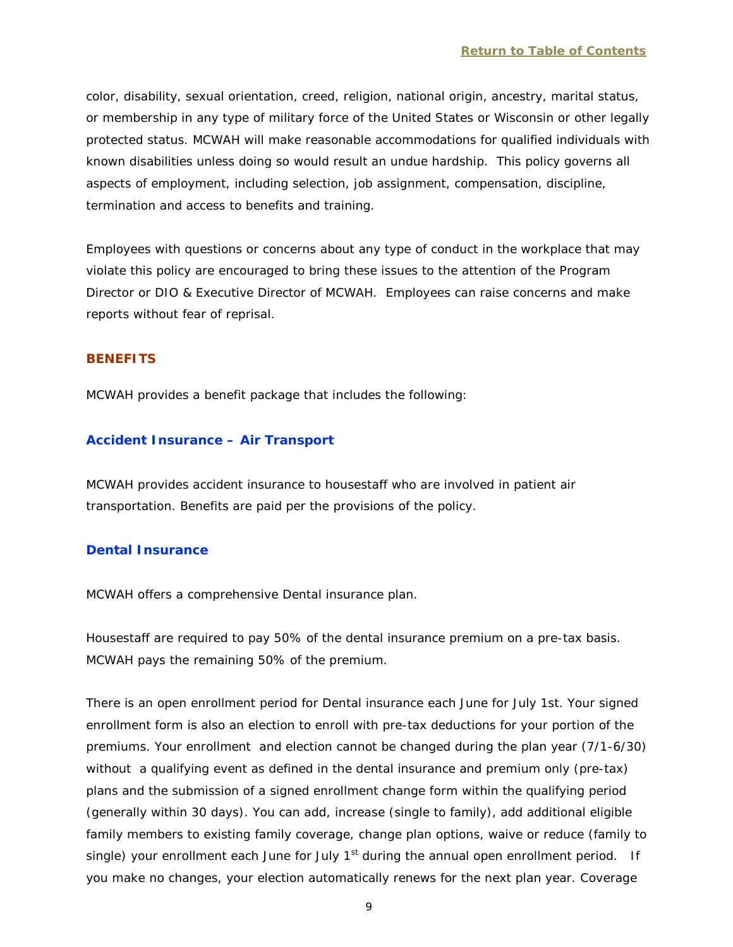color, disability, sexual orientation, creed, religion, national origin, ancestry, marital status, or membership in any type of military force of the United States or Wisconsin or other legally protected status. MCWAH will make reasonable accommodations for qualified individuals with known disabilities unless doing so would result an undue hardship. This policy governs all aspects of employment, including selection, job assignment, compensation, discipline, termination and access to benefits and training.

Employees with questions or concerns about any type of conduct in the workplace that may violate this policy are encouraged to bring these issues to the attention of the Program Director or DIO & Executive Director of MCWAH. Employees can raise concerns and make reports without fear of reprisal.

#### <span id="page-11-0"></span>**BENEFITS**

MCWAH provides a benefit package that includes the following:

## <span id="page-11-1"></span>**Accident Insurance – Air Transport**

MCWAH provides accident insurance to housestaff who are involved in patient air transportation. Benefits are paid per the provisions of the policy.

#### <span id="page-11-2"></span>**Dental Insurance**

MCWAH offers a comprehensive Dental insurance plan.

Housestaff are required to pay 50% of the dental insurance premium on a pre-tax basis. MCWAH pays the remaining 50% of the premium.

There is an open enrollment period for Dental insurance each June for July 1st. Your signed enrollment form is also an election to enroll with pre-tax deductions for your portion of the premiums. Your enrollment and election cannot be changed during the plan year (7/1-6/30) without a qualifying event as defined in the dental insurance and premium only (pre-tax) plans and the submission of a signed enrollment change form within the qualifying period (generally within 30 days). You can add, increase (single to family), add additional eligible family members to existing family coverage, change plan options, waive or reduce (family to single) your enrollment each June for July  $1<sup>st</sup>$  during the annual open enrollment period. If you make no changes, your election automatically renews for the next plan year. Coverage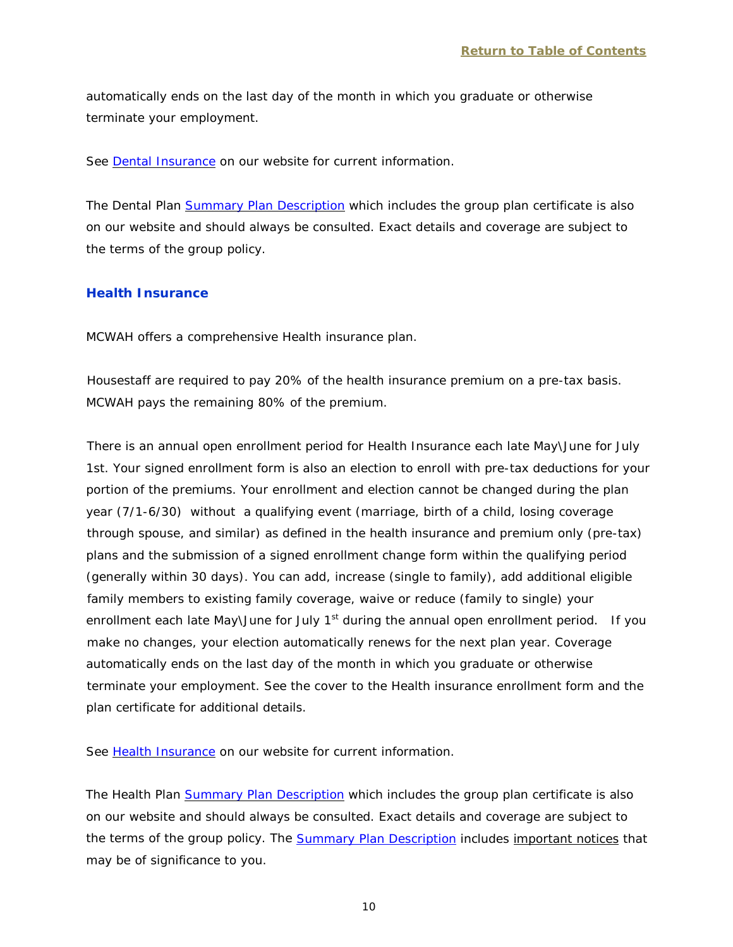automatically ends on the last day of the month in which you graduate or otherwise terminate your employment.

See [Dental Insurance](http://www.mcw.edu/FileLibrary/Groups/GraduateMedicalEducation/DentalMain.pdf) on our website for current information.

The Dental Plan [Summary Plan Description](http://www.mcw.edu/FileLibrary/Groups/GraduateMedicalEducation/SPDMain.pdf) which includes the group plan certificate is also on our website and should always be consulted. Exact details and coverage are subject to the terms of the group policy.

#### <span id="page-12-0"></span>**Health Insurance**

MCWAH offers a comprehensive Health insurance plan.

Housestaff are required to pay 20% of the health insurance premium on a pre-tax basis. MCWAH pays the remaining 80% of the premium.

There is an annual open enrollment period for Health Insurance each late May\June for July 1st. Your signed enrollment form is also an election to enroll with pre-tax deductions for your portion of the premiums. Your enrollment and election cannot be changed during the plan year (7/1-6/30) without a qualifying event (marriage, birth of a child, losing coverage through spouse, and similar) as defined in the health insurance and premium only (pre-tax) plans and the submission of a signed enrollment change form within the qualifying period (generally within 30 days). You can add, increase (single to family), add additional eligible family members to existing family coverage, waive or reduce (family to single) your enrollment each late May\June for July  $1<sup>st</sup>$  during the annual open enrollment period. If you make no changes, your election automatically renews for the next plan year. Coverage automatically ends on the last day of the month in which you graduate or otherwise terminate your employment. See the cover to the Health insurance enrollment form and the plan certificate for additional details.

See [Health Insurance](http://www.mcw.edu/FileLibrary/Groups/GraduateMedicalEducation/HealthMain.pdf) on our website for current information.

The Health Plan [Summary Plan Description](http://www.mcw.edu/FileLibrary/Groups/GraduateMedicalEducation/SPDMain.pdf) which includes the group plan certificate is also on our website and should always be consulted. Exact details and coverage are subject to the terms of the group policy. The [Summary Plan Description](http://www.mcw.edu/FileLibrary/Groups/GraduateMedicalEducation/SPDMain.pdf) includes *important notices* that may be of significance to you.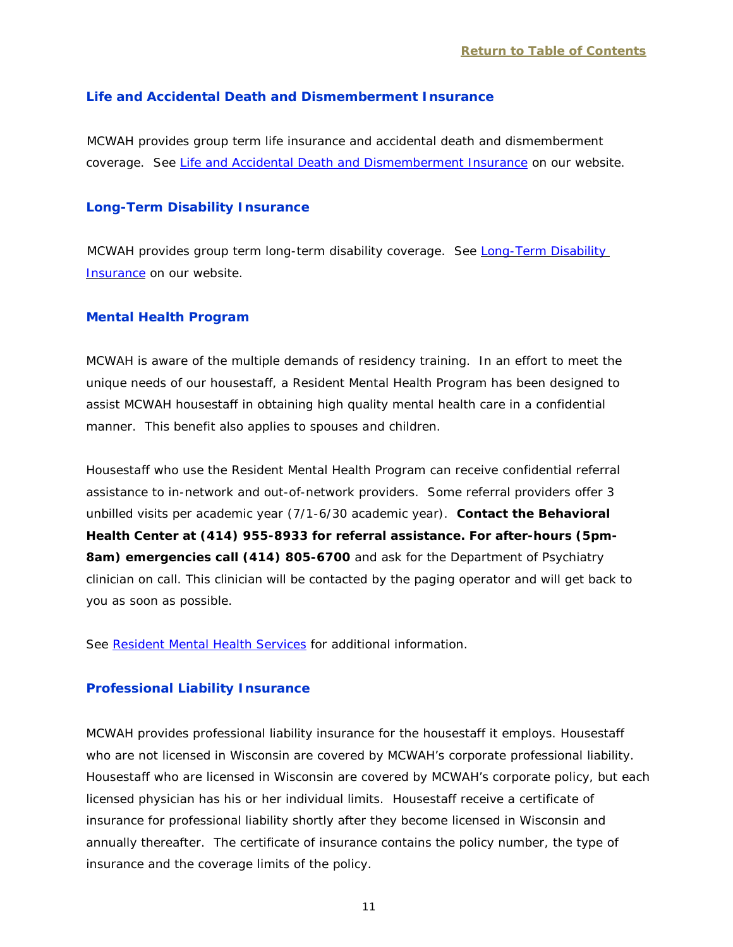#### <span id="page-13-0"></span>**Life and Accidental Death and Dismemberment Insurance**

MCWAH provides group term life insurance and accidental death and dismemberment coverage. See [Life and Accidental Death and Dismemberment Insurance](http://www.mcw.edu/GME/Benefits/LifeAndAccidentalDeath.htm) on our website.

#### <span id="page-13-1"></span>**Long-Term Disability Insurance**

MCWAH provides group term long-term disability coverage. See [Long-Term Disability](http://www.mcw.edu/GME/Benefits/LongtermDisabilityIns.htm)  [Insurance](http://www.mcw.edu/GME/Benefits/LongtermDisabilityIns.htm) on our website.

#### <span id="page-13-2"></span>**Mental Health Program**

MCWAH is aware of the multiple demands of residency training. In an effort to meet the unique needs of our housestaff, a Resident Mental Health Program has been designed to assist MCWAH housestaff in obtaining high quality mental health care in a confidential manner. This benefit also applies to spouses and children.

Housestaff who use the Resident Mental Health Program can receive confidential referral assistance to in-network and out-of-network providers. Some referral providers offer 3 unbilled visits per academic year (7/1-6/30 academic year). **Contact the Behavioral Health Center at (414) 955-8933 for referral assistance. For after-hours (5pm-8am) emergencies call (414) 805-6700** and ask for the Department of Psychiatry clinician on call. This clinician will be contacted by the paging operator and will get back to you as soon as possible.

See [Resident Mental Health Services](http://www.mcw.edu/psychiatry/healthservices.htm#residentmentalhealth) for additional information.

#### <span id="page-13-3"></span>**Professional Liability Insurance**

MCWAH provides professional liability insurance for the housestaff it employs. Housestaff who are not licensed in Wisconsin are covered by MCWAH's corporate professional liability. Housestaff who are licensed in Wisconsin are covered by MCWAH's corporate policy, but each licensed physician has his or her individual limits. Housestaff receive a certificate of insurance for professional liability shortly after they become licensed in Wisconsin and annually thereafter. The certificate of insurance contains the policy number, the type of insurance and the coverage limits of the policy.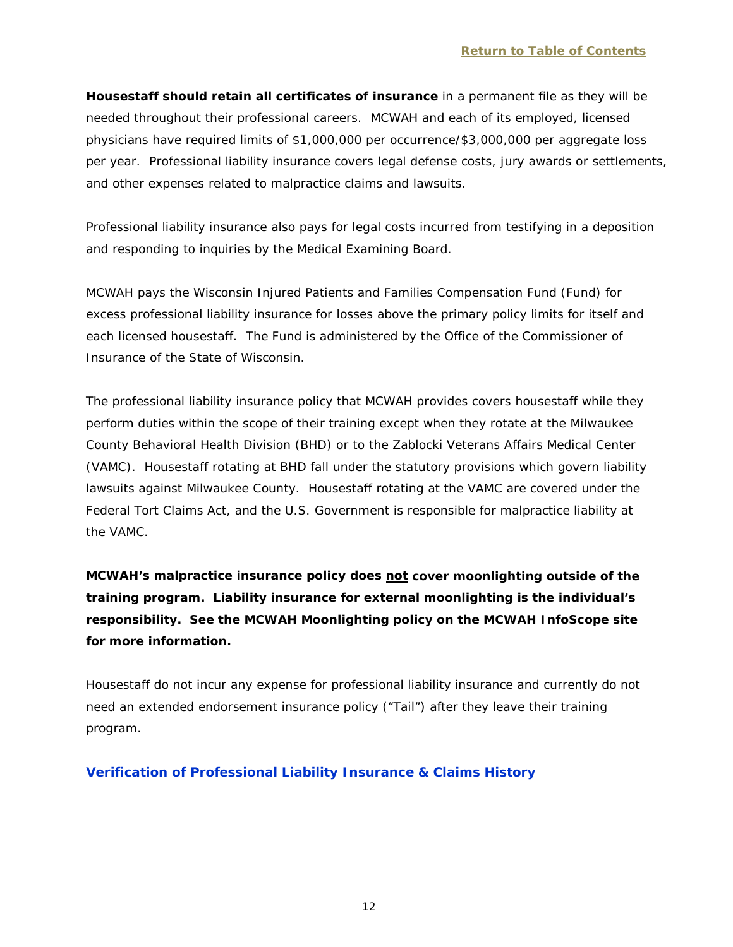**Housestaff should retain all certificates of insurance** in a permanent file as they will be needed throughout their professional careers. MCWAH and each of its employed, licensed physicians have required limits of \$1,000,000 per occurrence/\$3,000,000 per aggregate loss per year. Professional liability insurance covers legal defense costs, jury awards or settlements, and other expenses related to malpractice claims and lawsuits.

Professional liability insurance also pays for legal costs incurred from testifying in a deposition and responding to inquiries by the Medical Examining Board.

MCWAH pays the Wisconsin Injured Patients and Families Compensation Fund (Fund) for excess professional liability insurance for losses above the primary policy limits for itself and each licensed housestaff. The Fund is administered by the Office of the Commissioner of Insurance of the State of Wisconsin.

The professional liability insurance policy that MCWAH provides covers housestaff while they perform duties within the scope of their training except when they rotate at the Milwaukee County Behavioral Health Division (BHD) or to the Zablocki Veterans Affairs Medical Center (VAMC). Housestaff rotating at BHD fall under the statutory provisions which govern liability lawsuits against Milwaukee County. Housestaff rotating at the VAMC are covered under the Federal Tort Claims Act, and the U.S. Government is responsible for malpractice liability at the VAMC.

# *MCWAH's malpractice insurance policy does not cover moonlighting outside of the training program. Liability insurance for external moonlighting is the individual's responsibility. See the MCWAH Moonlighting policy on the MCWAH InfoScope site for more information.*

Housestaff do not incur any expense for professional liability insurance and currently do not need an extended endorsement insurance policy ("Tail") after they leave their training program.

# <span id="page-14-0"></span>**Verification of Professional Liability Insurance & Claims History**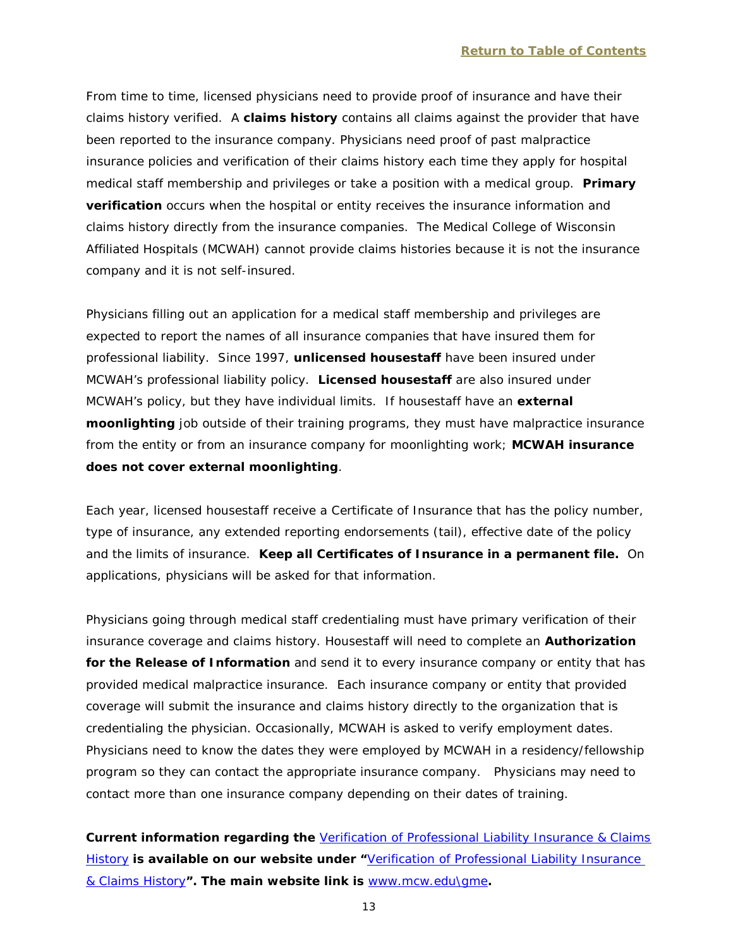From time to time, licensed physicians need to provide proof of insurance and have their claims history verified. A **claims history** contains all claims against the provider that have been reported to the insurance company. Physicians need proof of past malpractice insurance policies and verification of their claims history each time they apply for hospital medical staff membership and privileges or take a position with a medical group. **Primary verification** occurs when the hospital or entity receives the insurance information and claims history directly from the insurance companies. The Medical College of Wisconsin Affiliated Hospitals (MCWAH) cannot provide claims histories because it is not the insurance company and it is not self-insured.

Physicians filling out an application for a medical staff membership and privileges are expected to report the names of all insurance companies that have insured them for professional liability. Since 1997, **unlicensed housestaff** have been insured under MCWAH's professional liability policy. **Licensed housestaff** are also insured under MCWAH's policy, but they have individual limits. If housestaff have an **external moonlighting** job outside of their training programs, they must have malpractice insurance from the entity or from an insurance company for moonlighting work; **MCWAH insurance does not cover external moonlighting**.

Each year, licensed housestaff receive a Certificate of Insurance that has the policy number, type of insurance, any extended reporting endorsements (tail), effective date of the policy and the limits of insurance. **Keep all Certificates of Insurance in a permanent file.** On applications, physicians will be asked for that information.

Physicians going through medical staff credentialing must have primary verification of their insurance coverage and claims history. Housestaff will need to complete an **Authorization for the Release of Information** and send it to every insurance company or entity that has provided medical malpractice insurance. Each insurance company or entity that provided coverage will submit the insurance and claims history directly to the organization that is credentialing the physician. Occasionally, MCWAH is asked to verify employment dates. Physicians need to know the dates they were employed by MCWAH in a residency/fellowship program so they can contact the appropriate insurance company. Physicians may need to contact more than one insurance company depending on their dates of training.

**Current information regarding the** [Verification of Professional Liability Insurance & Claims](http://www.mcw.edu/GME/RMMainPage.htm)  [History](http://www.mcw.edu/GME/RMMainPage.htm) **is available on our website under "**[Verification of Professional Liability Insurance](http://www.mcw.edu/GME/RMMainPage.htm)  [& Claims History](http://www.mcw.edu/GME/RMMainPage.htm)**". The main website link is** [www.mcw.edu\gme](http://www.mcw.edu/gme)**.**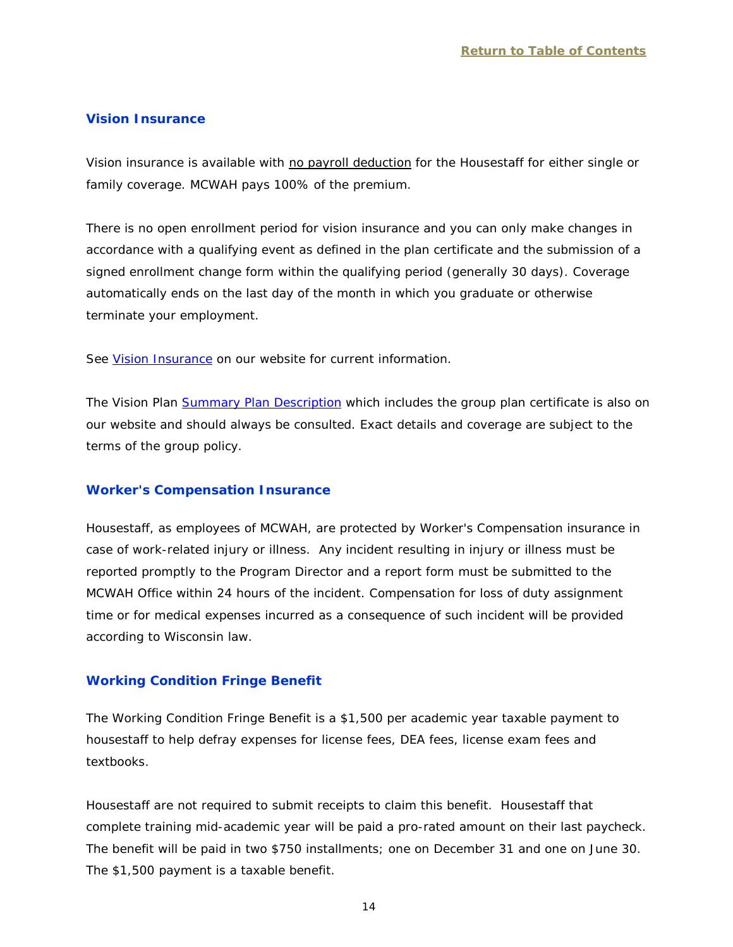#### <span id="page-16-0"></span>**Vision Insurance**

Vision insurance is available with no payroll deduction for the Housestaff for either single or family coverage. MCWAH pays 100% of the premium.

There is no open enrollment period for vision insurance and you can only make changes in accordance with a qualifying event as defined in the plan certificate and the submission of a signed enrollment change form within the qualifying period (generally 30 days). Coverage automatically ends on the last day of the month in which you graduate or otherwise terminate your employment.

See [Vision Insurance](http://www.mcw.edu/FileLibrary/Groups/GraduateMedicalEducation/VisionMain.pdf) on our website for current information.

The Vision Plan [Summary Plan Description](http://www.mcw.edu/FileLibrary/Groups/GraduateMedicalEducation/SPDMain.pdf) which includes the group plan certificate is also on our website and should always be consulted. Exact details and coverage are subject to the terms of the group policy.

#### <span id="page-16-1"></span>**Worker's Compensation Insurance**

Housestaff, as employees of MCWAH, are protected by Worker's Compensation insurance in case of work-related injury or illness. Any incident resulting in injury or illness must be reported promptly to the Program Director and a report form must be submitted to the MCWAH Office within 24 hours of the incident. Compensation for loss of duty assignment time or for medical expenses incurred as a consequence of such incident will be provided according to Wisconsin law.

## <span id="page-16-2"></span>**Working Condition Fringe Benefit**

The Working Condition Fringe Benefit is a \$1,500 per academic year taxable payment to housestaff to help defray expenses for license fees, DEA fees, license exam fees and textbooks.

Housestaff are not required to submit receipts to claim this benefit. Housestaff that complete training mid-academic year will be paid a pro-rated amount on their last paycheck. The benefit will be paid in two \$750 installments; one on December 31 and one on June 30. The \$1,500 payment is a taxable benefit.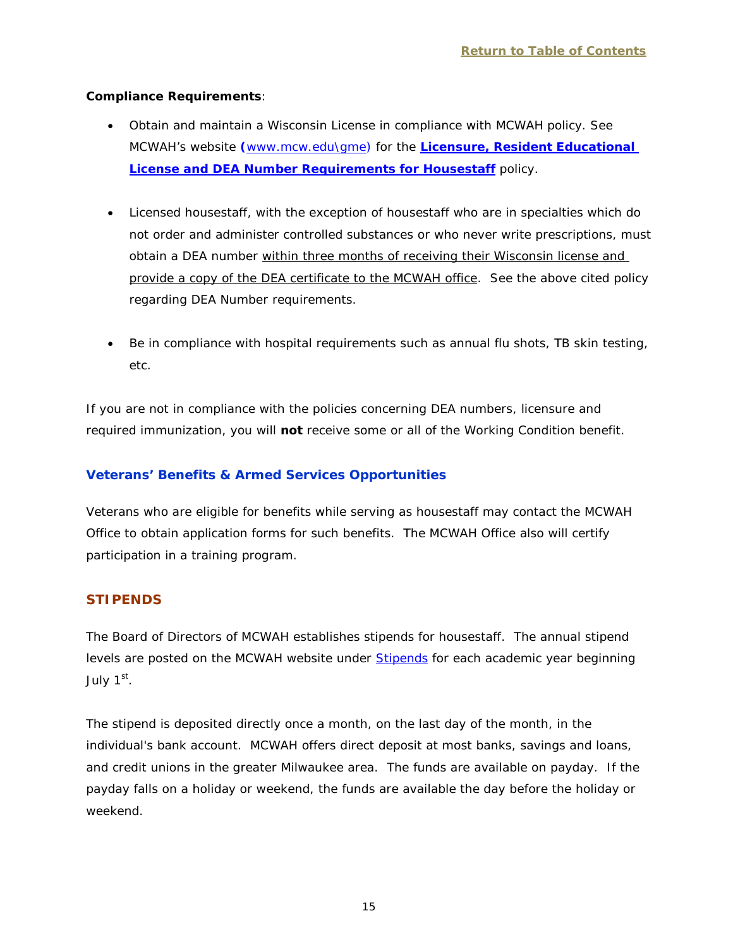## **Compliance Requirements**:

- Obtain and maintain a Wisconsin License in compliance with MCWAH policy. See MCWAH's website **(**[www.mcw.edu\gme\)](http://www.mcw.edu/gme) for the **[Licensure, Resident Educational](http://www.mcw.edu/FileLibrary/Groups/GraduateMedicalEducation/LicensureResidentEducationalLicenseandDEARequirementsforHousestaff_forInternet.pdf)  [License and DEA Number Requirements for Housestaff](http://www.mcw.edu/FileLibrary/Groups/GraduateMedicalEducation/LicensureResidentEducationalLicenseandDEARequirementsforHousestaff_forInternet.pdf)** policy.
- Licensed housestaff, with the exception of housestaff who are in specialties which do not order and administer controlled substances or who never write prescriptions, must obtain a DEA number within three months of receiving their Wisconsin license and provide a copy of the DEA certificate to the MCWAH office. See the above cited policy regarding DEA Number requirements.
- Be in compliance with hospital requirements such as annual flu shots, TB skin testing, etc.

If you are not in compliance with the policies concerning DEA numbers, licensure and required immunization, you will **not** receive some or all of the Working Condition benefit.

# <span id="page-17-0"></span>**Veterans' Benefits & Armed Services Opportunities**

Veterans who are eligible for benefits while serving as housestaff may contact the MCWAH Office to obtain application forms for such benefits. The MCWAH Office also will certify participation in a training program.

# <span id="page-17-1"></span>**STIPENDS**

The Board of Directors of MCWAH establishes stipends for housestaff. The annual stipend levels are posted on the MCWAH website under [Stipends](http://www.mcw.edu/GME/Benefits/Stipends.htm) for each academic year beginning July  $1<sup>st</sup>$ .

The stipend is deposited directly once a month, on the last day of the month, in the individual's bank account. MCWAH offers direct deposit at most banks, savings and loans, and credit unions in the greater Milwaukee area. The funds are available on payday. If the payday falls on a holiday or weekend, the funds are available the day before the holiday or weekend.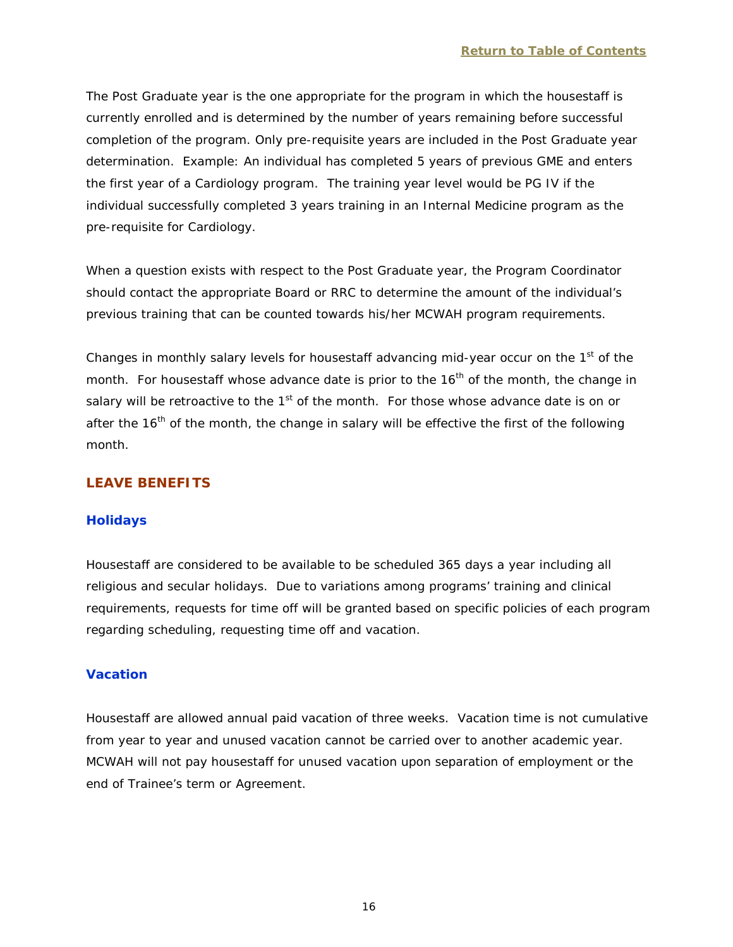The Post Graduate year is the one appropriate for the program in which the housestaff is currently enrolled and is determined by the number of years remaining before successful completion of the program. Only pre-requisite years are included in the Post Graduate year determination. Example: An individual has completed 5 years of previous GME and enters the first year of a Cardiology program. The training year level would be PG IV if the individual successfully completed 3 years training in an Internal Medicine program as the pre-requisite for Cardiology.

When a question exists with respect to the Post Graduate year, the Program Coordinator should contact the appropriate Board or RRC to determine the amount of the individual's previous training that can be counted towards his/her MCWAH program requirements.

Changes in monthly salary levels for housestaff advancing mid-year occur on the 1<sup>st</sup> of the month. For housestaff whose advance date is prior to the  $16<sup>th</sup>$  of the month, the change in salary will be retroactive to the 1<sup>st</sup> of the month. For those whose advance date is on or after the  $16<sup>th</sup>$  of the month, the change in salary will be effective the first of the following month.

# <span id="page-18-0"></span>**LEAVE BENEFITS**

## <span id="page-18-1"></span>**Holidays**

Housestaff are considered to be available to be scheduled 365 days a year including all religious and secular holidays. Due to variations among programs' training and clinical requirements, requests for time off will be granted based on specific policies of each program regarding scheduling, requesting time off and vacation.

# <span id="page-18-2"></span>**Vacation**

Housestaff are allowed annual paid vacation of three weeks. Vacation time is not cumulative from year to year and unused vacation cannot be carried over to another academic year. MCWAH will not pay housestaff for unused vacation upon separation of employment or the end of Trainee's term or Agreement.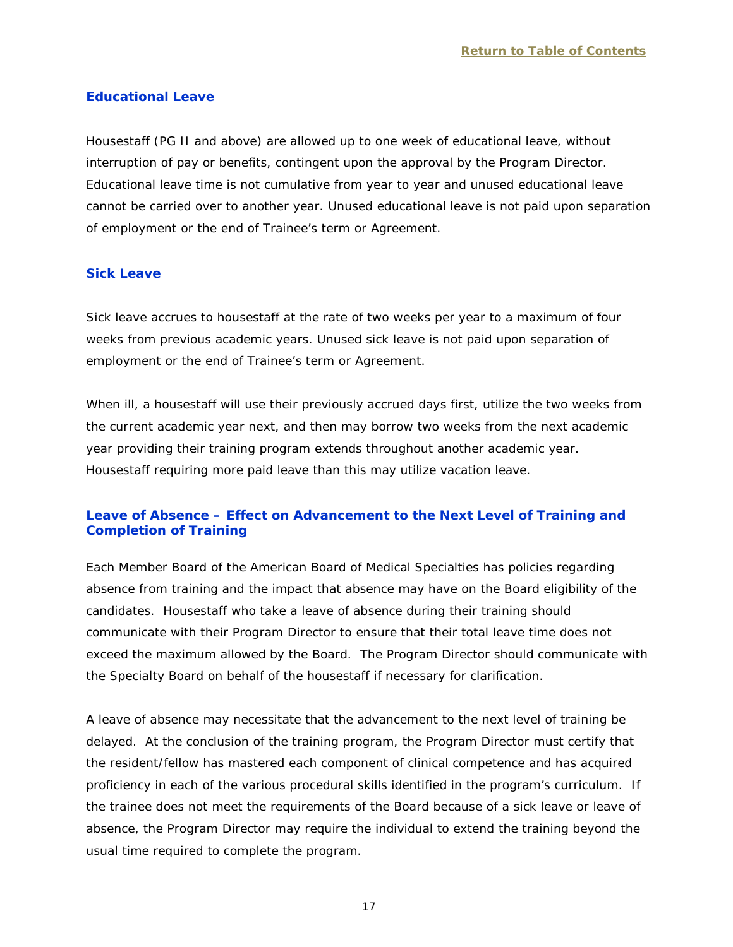## <span id="page-19-0"></span>**Educational Leave**

Housestaff (PG II and above) are allowed up to one week of educational leave, without interruption of pay or benefits, contingent upon the approval by the Program Director. Educational leave time is not cumulative from year to year and unused educational leave cannot be carried over to another year. Unused educational leave is not paid upon separation of employment or the end of Trainee's term or Agreement.

## <span id="page-19-1"></span>**Sick Leave**

Sick leave accrues to housestaff at the rate of two weeks per year to a maximum of four weeks from previous academic years. Unused sick leave is not paid upon separation of employment or the end of Trainee's term or Agreement.

When ill, a housestaff will use their previously accrued days first, utilize the two weeks from the current academic year next, and then may borrow two weeks from the next academic year providing their training program extends throughout another academic year. Housestaff requiring more paid leave than this may utilize vacation leave.

# <span id="page-19-2"></span>**Leave of Absence – Effect on Advancement to the Next Level of Training and Completion of Training**

Each Member Board of the American Board of Medical Specialties has policies regarding absence from training and the impact that absence may have on the Board eligibility of the candidates. Housestaff who take a leave of absence during their training should communicate with their Program Director to ensure that their total leave time does not exceed the maximum allowed by the Board. The Program Director should communicate with the Specialty Board on behalf of the housestaff if necessary for clarification.

A leave of absence may necessitate that the advancement to the next level of training be delayed. At the conclusion of the training program, the Program Director must certify that the resident/fellow has mastered each component of clinical competence and has acquired proficiency in each of the various procedural skills identified in the program's curriculum. If the trainee does not meet the requirements of the Board because of a sick leave or leave of absence, the Program Director may require the individual to extend the training beyond the usual time required to complete the program.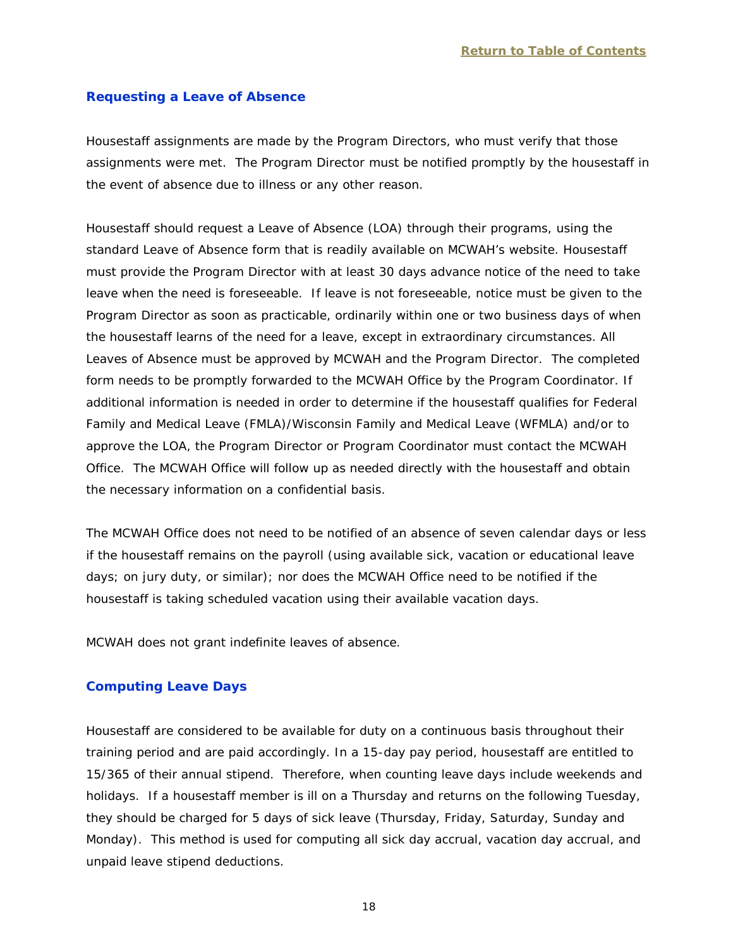#### <span id="page-20-0"></span>**Requesting a Leave of Absence**

Housestaff assignments are made by the Program Directors, who must verify that those assignments were met. The Program Director must be notified promptly by the housestaff in the event of absence due to illness or any other reason.

Housestaff should request a Leave of Absence (LOA) through their programs, using the standard Leave of Absence form that is readily available on MCWAH's website. Housestaff must provide the Program Director with at least 30 days advance notice of the need to take leave when the need is foreseeable. If leave is not foreseeable, notice must be given to the Program Director as soon as practicable, ordinarily within one or two business days of when the housestaff learns of the need for a leave, except in extraordinary circumstances. All Leaves of Absence must be approved by MCWAH and the Program Director. The completed form needs to be promptly forwarded to the MCWAH Office by the Program Coordinator. If additional information is needed in order to determine if the housestaff qualifies for Federal Family and Medical Leave (FMLA)/Wisconsin Family and Medical Leave (WFMLA) and/or to approve the LOA, the Program Director or Program Coordinator must contact the MCWAH Office. The MCWAH Office will follow up as needed directly with the housestaff and obtain the necessary information on a confidential basis.

The MCWAH Office does not need to be notified of an absence of seven calendar days or less if the housestaff remains on the payroll (using available sick, vacation or educational leave days; on jury duty, or similar); nor does the MCWAH Office need to be notified if the housestaff is taking scheduled vacation using their available vacation days.

MCWAH does not grant indefinite leaves of absence.

#### <span id="page-20-1"></span>**Computing Leave Days**

Housestaff are considered to be available for duty on a continuous basis throughout their training period and are paid accordingly. In a 15-day pay period, housestaff are entitled to 15/365 of their annual stipend. Therefore, when counting leave days include weekends and holidays. If a housestaff member is ill on a Thursday and returns on the following Tuesday, they should be charged for 5 days of sick leave (Thursday, Friday, Saturday, Sunday and Monday). This method is used for computing all sick day accrual, vacation day accrual, and unpaid leave stipend deductions.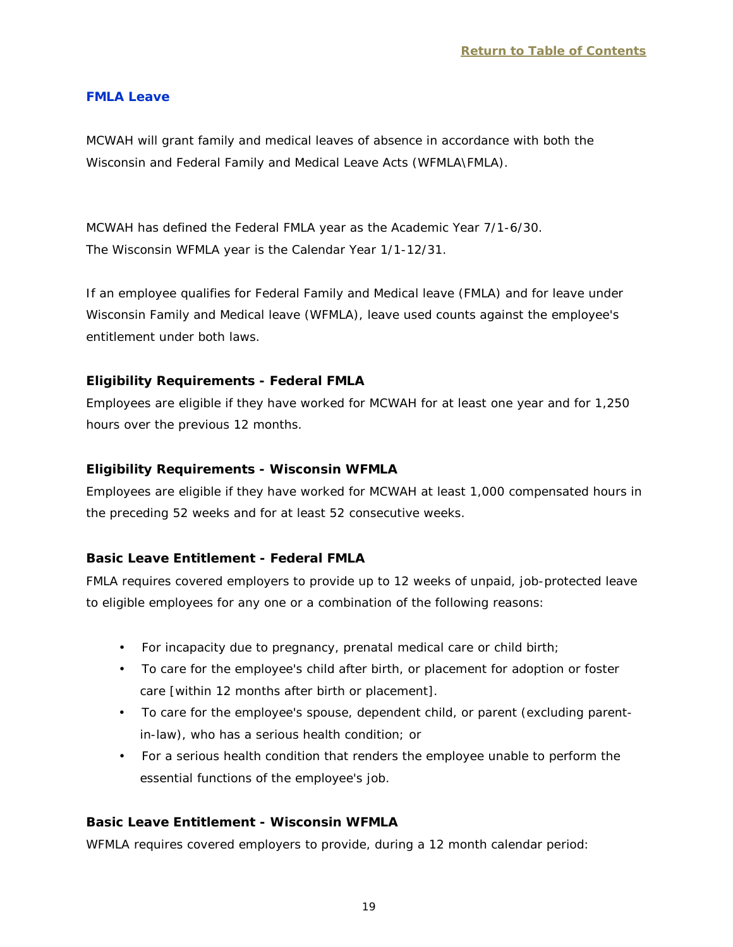#### <span id="page-21-0"></span>**FMLA Leave**

MCWAH will grant family and medical leaves of absence in accordance with both the Wisconsin and Federal Family and Medical Leave Acts (WFMLA\FMLA).

MCWAH has defined the Federal FMLA year as the Academic Year 7/1-6/30. The Wisconsin WFMLA year is the Calendar Year 1/1-12/31.

If an employee qualifies for Federal Family and Medical leave (FMLA) and for leave under Wisconsin Family and Medical leave (WFMLA), leave used counts against the employee's entitlement under both laws.

## **Eligibility Requirements - Federal FMLA**

Employees are eligible if they have worked for MCWAH for at least one year and for 1,250 hours over the previous 12 months.

## **Eligibility Requirements - Wisconsin WFMLA**

Employees are eligible if they have worked for MCWAH at least 1,000 compensated hours in the preceding 52 weeks and for at least 52 consecutive weeks.

## **Basic Leave Entitlement - Federal FMLA**

FMLA requires covered employers to provide up to 12 weeks of unpaid, job-protected leave to eligible employees for any one or a combination of the following reasons:

- For incapacity due to pregnancy, prenatal medical care or child birth;
- To care for the employee's child after birth, or placement for adoption or foster care [within 12 months after birth or placement].
- To care for the employee's spouse, dependent child, or parent (excluding parentin-law), who has a serious health condition; or
- For a serious health condition that renders the employee unable to perform the essential functions of the employee's job.

# **Basic Leave Entitlement - Wisconsin WFMLA**

WFMLA requires covered employers to provide, during a 12 month calendar period: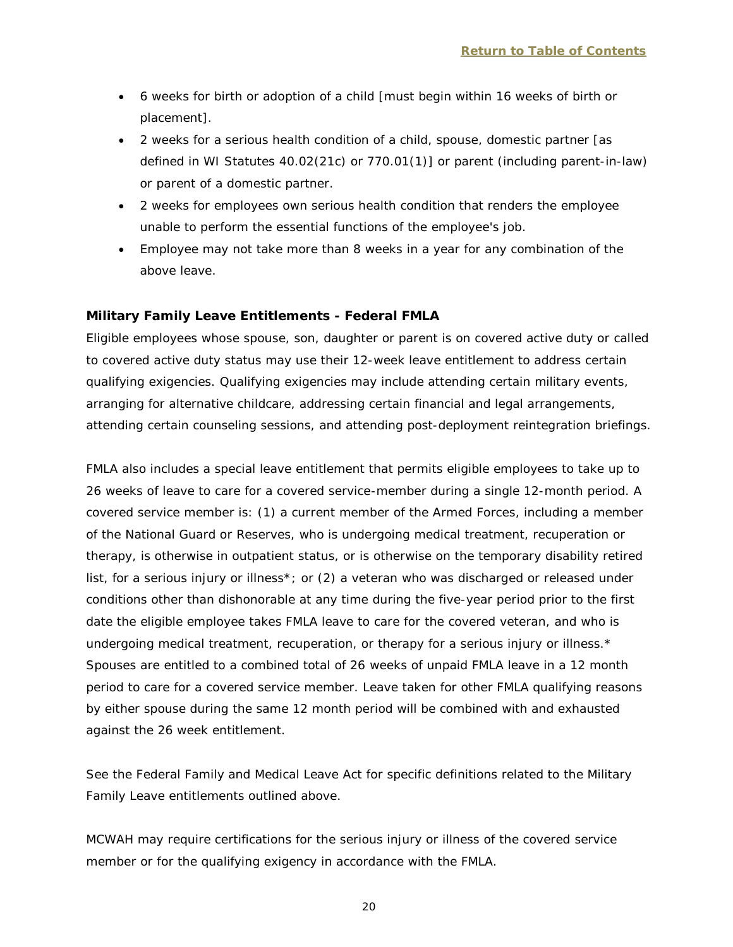- 6 weeks for birth or adoption of a child [must begin within 16 weeks of birth or placement].
- 2 weeks for a serious health condition of a child, spouse, domestic partner [as defined in WI Statutes 40.02(21c) or 770.01(1)] or parent (including parent-in-law) or parent of a domestic partner.
- 2 weeks for employees own serious health condition that renders the employee unable to perform the essential functions of the employee's job.
- Employee may not take more than 8 weeks in a year for any combination of the above leave.

## **Military Family Leave Entitlements - Federal FMLA**

Eligible employees whose spouse, son, daughter or parent is on covered active duty or called to covered active duty status may use their 12-week leave entitlement to address certain qualifying exigencies. Qualifying exigencies may include attending certain military events, arranging for alternative childcare, addressing certain financial and legal arrangements, attending certain counseling sessions, and attending post-deployment reintegration briefings.

FMLA also includes a special leave entitlement that permits eligible employees to take up to 26 weeks of leave to care for a covered service-member during a single 12-month period. A covered service member is: (1) a current member of the Armed Forces, including a member of the National Guard or Reserves, who is undergoing medical treatment, recuperation or therapy, is otherwise in outpatient status, or is otherwise on the temporary disability retired list, for a serious injury or illness\*; or (2) a veteran who was discharged or released under conditions other than dishonorable at any time during the five-year period prior to the first date the eligible employee takes FMLA leave to care for the covered veteran, and who is undergoing medical treatment, recuperation, or therapy for a serious injury or illness.\* Spouses are entitled to a combined total of 26 weeks of unpaid FMLA leave in a 12 month period to care for a covered service member. Leave taken for other FMLA qualifying reasons by either spouse during the same 12 month period will be combined with and exhausted against the 26 week entitlement.

See the Federal Family and Medical Leave Act for specific definitions related to the Military Family Leave entitlements outlined above.

MCWAH may require certifications for the serious injury or illness of the covered service member or for the qualifying exigency in accordance with the FMLA.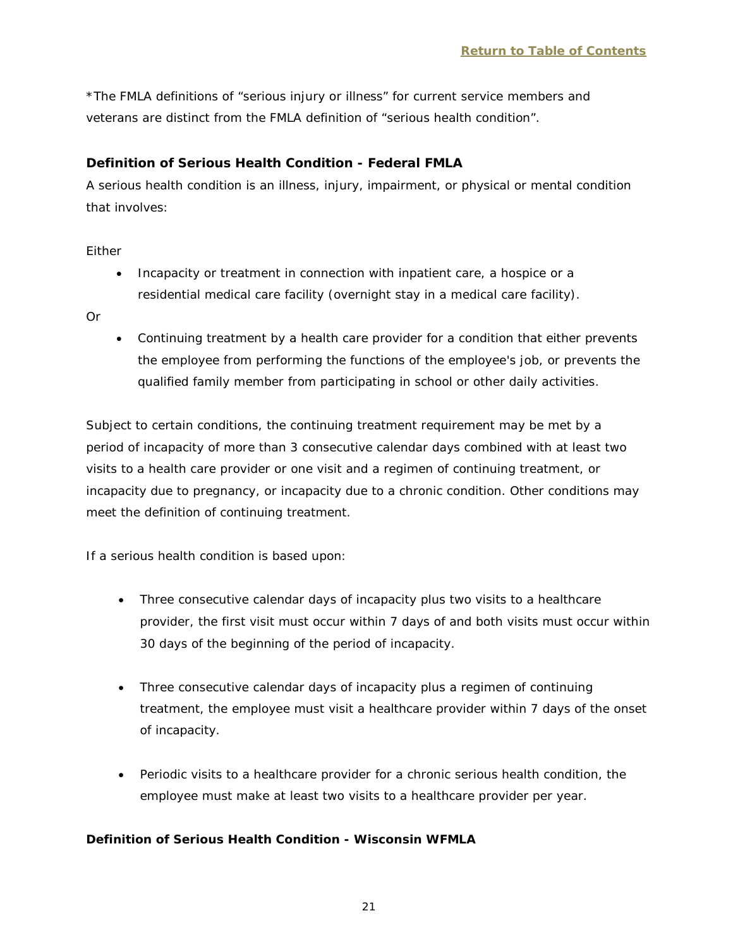\*The FMLA definitions of "serious injury or illness" for current service members and veterans are distinct from the FMLA definition of "serious health condition".

## **Definition of Serious Health Condition - Federal FMLA**

A serious health condition is an illness, injury, impairment, or physical or mental condition that involves:

Either

• Incapacity or treatment in connection with inpatient care, a hospice or a residential medical care facility (overnight stay in a medical care facility).

Or

• Continuing treatment by a health care provider for a condition that either prevents the employee from performing the functions of the employee's job, or prevents the qualified family member from participating in school or other daily activities.

Subject to certain conditions, the continuing treatment requirement may be met by a period of incapacity of more than 3 consecutive calendar days combined with at least two visits to a health care provider or one visit and a regimen of continuing treatment, or incapacity due to pregnancy, or incapacity due to a chronic condition. Other conditions may meet the definition of continuing treatment.

If a serious health condition is based upon:

- Three consecutive calendar days of incapacity plus two visits to a healthcare provider, the first visit must occur within 7 days of and both visits must occur within 30 days of the beginning of the period of incapacity.
- Three consecutive calendar days of incapacity plus a regimen of continuing treatment, the employee must visit a healthcare provider within 7 days of the onset of incapacity.
- Periodic visits to a healthcare provider for a chronic serious health condition, the employee must make at least two visits to a healthcare provider per year.

## **Definition of Serious Health Condition - Wisconsin WFMLA**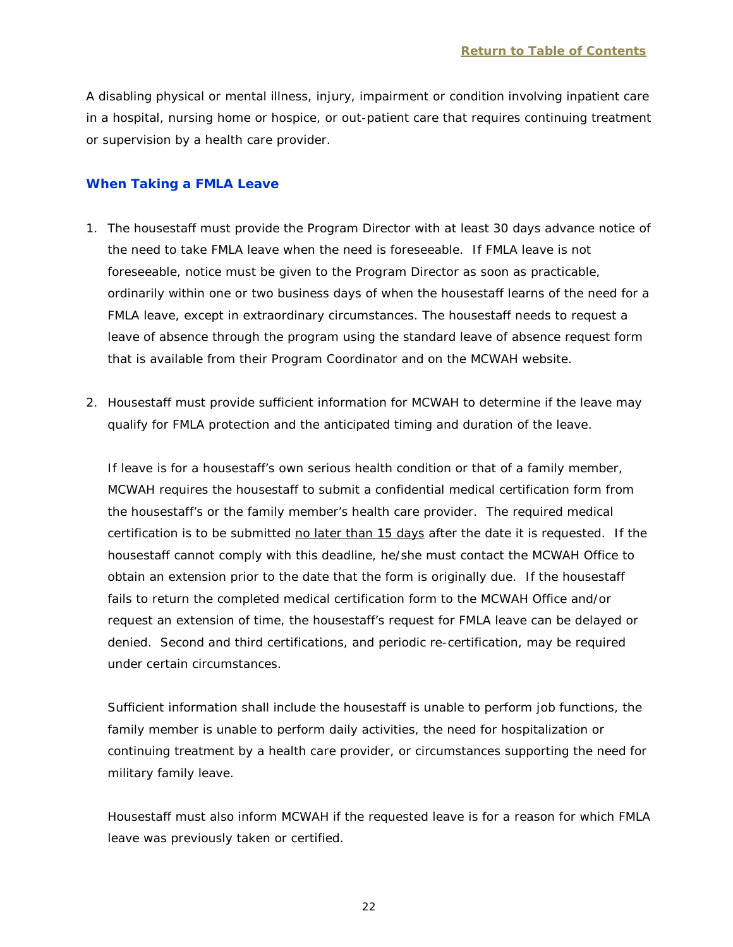A disabling physical or mental illness, injury, impairment or condition involving inpatient care in a hospital, nursing home or hospice, or out-patient care that requires continuing treatment or supervision by a health care provider.

#### <span id="page-24-0"></span>**When Taking a FMLA Leave**

- 1. The housestaff must provide the Program Director with at least 30 days advance notice of the need to take FMLA leave when the need is foreseeable. If FMLA leave is not foreseeable, notice must be given to the Program Director as soon as practicable, ordinarily within one or two business days of when the housestaff learns of the need for a FMLA leave, except in extraordinary circumstances. The housestaff needs to request a leave of absence through the program using the standard leave of absence request form that is available from their Program Coordinator and on the MCWAH website.
- 2. Housestaff must provide sufficient information for MCWAH to determine if the leave may qualify for FMLA protection and the anticipated timing and duration of the leave.

If leave is for a housestaff's own serious health condition or that of a family member, MCWAH requires the housestaff to submit a confidential medical certification form from the housestaff's or the family member's health care provider. The required medical certification is to be submitted no later than 15 days after the date it is requested. If the housestaff cannot comply with this deadline, he/she must contact the MCWAH Office to obtain an extension prior to the date that the form is originally due. If the housestaff fails to return the completed medical certification form to the MCWAH Office and/or request an extension of time, the housestaff's request for FMLA leave can be delayed or denied. Second and third certifications, and periodic re-certification, may be required under certain circumstances.

Sufficient information shall include the housestaff is unable to perform job functions, the family member is unable to perform daily activities, the need for hospitalization or continuing treatment by a health care provider, or circumstances supporting the need for military family leave.

Housestaff must also inform MCWAH if the requested leave is for a reason for which FMLA leave was previously taken or certified.

22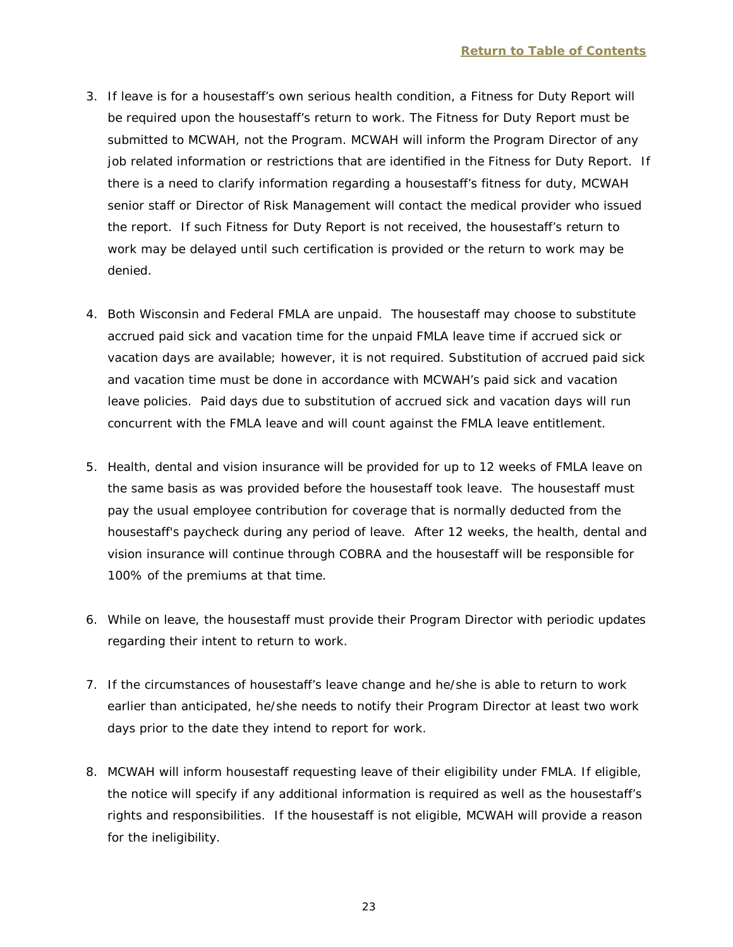- 3. If leave is for a housestaff's own serious health condition, a Fitness for Duty Report will be required upon the housestaff's return to work. The Fitness for Duty Report must be submitted to MCWAH, not the Program. MCWAH will inform the Program Director of any job related information or restrictions that are identified in the Fitness for Duty Report. If there is a need to clarify information regarding a housestaff's fitness for duty, MCWAH senior staff or Director of Risk Management will contact the medical provider who issued the report. If such Fitness for Duty Report is not received, the housestaff's return to work may be delayed until such certification is provided or the return to work may be denied.
- 4. Both Wisconsin and Federal FMLA are unpaid. The housestaff may choose to substitute accrued paid sick and vacation time for the unpaid FMLA leave time if accrued sick or vacation days are available; however, it is not required. Substitution of accrued paid sick and vacation time must be done in accordance with MCWAH's paid sick and vacation leave policies. Paid days due to substitution of accrued sick and vacation days will run concurrent with the FMLA leave and will count against the FMLA leave entitlement.
- 5. Health, dental and vision insurance will be provided for up to 12 weeks of FMLA leave on the same basis as was provided before the housestaff took leave. The housestaff must pay the usual employee contribution for coverage that is normally deducted from the housestaff's paycheck during any period of leave. After 12 weeks, the health, dental and vision insurance will continue through COBRA and the housestaff will be responsible for 100% of the premiums at that time.
- 6. While on leave, the housestaff must provide their Program Director with periodic updates regarding their intent to return to work.
- 7. If the circumstances of housestaff's leave change and he/she is able to return to work earlier than anticipated, he/she needs to notify their Program Director at least two work days prior to the date they intend to report for work.
- 8. MCWAH will inform housestaff requesting leave of their eligibility under FMLA. If eligible, the notice will specify if any additional information is required as well as the housestaff's rights and responsibilities. If the housestaff is not eligible, MCWAH will provide a reason for the ineligibility.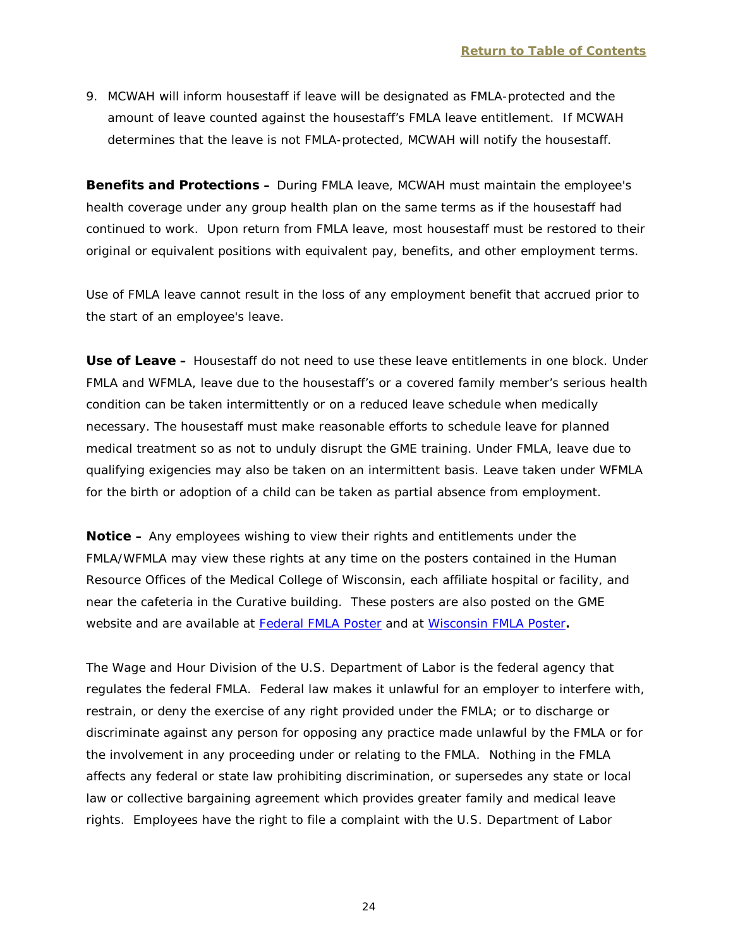9. MCWAH will inform housestaff if leave will be designated as FMLA-protected and the amount of leave counted against the housestaff's FMLA leave entitlement. If MCWAH determines that the leave is not FMLA-protected, MCWAH will notify the housestaff.

**Benefits and Protections –** During FMLA leave, MCWAH must maintain the employee's health coverage under any group health plan on the same terms as if the housestaff had continued to work. Upon return from FMLA leave, most housestaff must be restored to their original or equivalent positions with equivalent pay, benefits, and other employment terms.

Use of FMLA leave cannot result in the loss of any employment benefit that accrued prior to the start of an employee's leave.

**Use of Leave –** Housestaff do not need to use these leave entitlements in one block. Under FMLA and WFMLA, leave due to the housestaff's or a covered family member's serious health condition can be taken intermittently or on a reduced leave schedule when medically necessary. The housestaff must make reasonable efforts to schedule leave for planned medical treatment so as not to unduly disrupt the GME training. Under FMLA, leave due to qualifying exigencies may also be taken on an intermittent basis. Leave taken under WFMLA for the birth or adoption of a child can be taken as partial absence from employment.

**Notice –** Any employees wishing to view their rights and entitlements under the FMLA/WFMLA may view these rights at any time on the posters contained in the Human Resource Offices of the Medical College of Wisconsin, each affiliate hospital or facility, and near the cafeteria in the Curative building. These posters are also posted on the GME website and are available at [Federal FMLA Poster](http://www.mcw.edu/FileLibrary/Groups/GraduateMedicalEducation/FMLA_Poster__Federal__030813__1420_.pdf?) and at [Wisconsin FMLA Poster](http://www.mcw.edu/FileLibrary/Groups/GraduateMedicalEducation/erd_7983_p.pdf)**.**

The Wage and Hour Division of the U.S. Department of Labor is the federal agency that regulates the federal FMLA. Federal law makes it unlawful for an employer to interfere with, restrain, or deny the exercise of any right provided under the FMLA; or to discharge or discriminate against any person for opposing any practice made unlawful by the FMLA or for the involvement in any proceeding under or relating to the FMLA. Nothing in the FMLA affects any federal or state law prohibiting discrimination, or supersedes any state or local law or collective bargaining agreement which provides greater family and medical leave rights. Employees have the right to file a complaint with the U.S. Department of Labor

24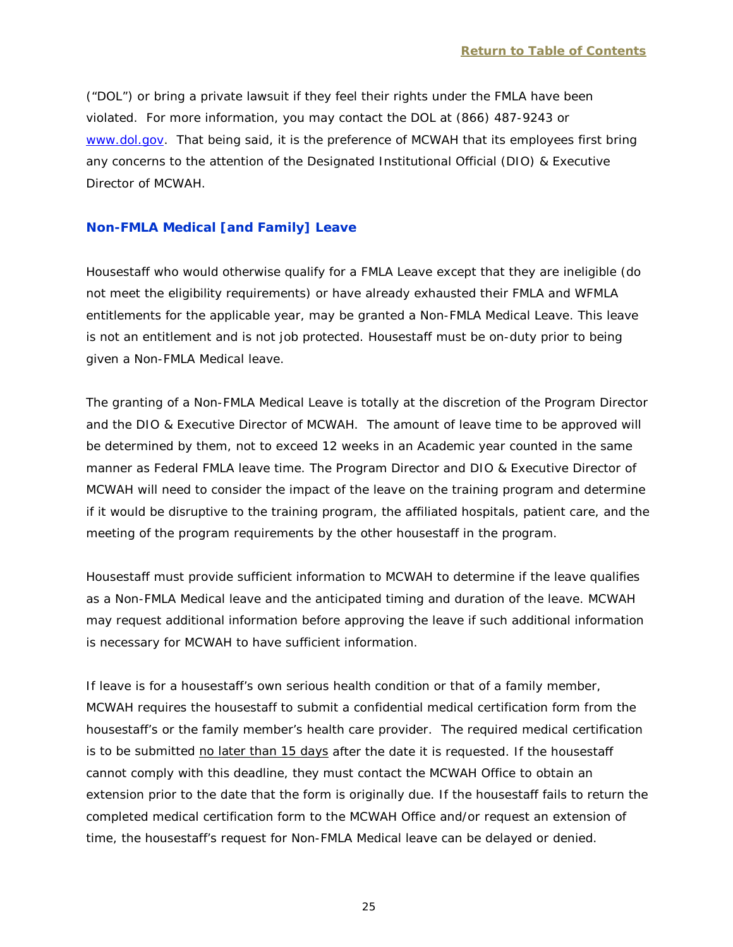("DOL") or bring a private lawsuit if they feel their rights under the FMLA have been violated. For more information, you may contact the DOL at (866) 487-9243 or [www.dol.gov.](http://www.dol.gov/) That being said, it is the preference of MCWAH that its employees first bring any concerns to the attention of the Designated Institutional Official (DIO) & Executive Director of MCWAH.

#### <span id="page-27-0"></span>**Non-FMLA Medical [and Family] Leave**

Housestaff who would otherwise qualify for a FMLA Leave except that they are ineligible (do not meet the eligibility requirements) or have already exhausted their FMLA and WFMLA entitlements for the applicable year, may be granted a Non-FMLA Medical Leave. This leave is not an entitlement and is not job protected. Housestaff must be on-duty prior to being given a Non-FMLA Medical leave.

The granting of a Non-FMLA Medical Leave is totally at the discretion of the Program Director and the DIO & Executive Director of MCWAH. The amount of leave time to be approved will be determined by them, not to exceed 12 weeks in an Academic year counted in the same manner as Federal FMLA leave time. The Program Director and DIO & Executive Director of MCWAH will need to consider the impact of the leave on the training program and determine if it would be disruptive to the training program, the affiliated hospitals, patient care, and the meeting of the program requirements by the other housestaff in the program.

Housestaff must provide sufficient information to MCWAH to determine if the leave qualifies as a Non-FMLA Medical leave and the anticipated timing and duration of the leave. MCWAH may request additional information before approving the leave if such additional information is necessary for MCWAH to have sufficient information.

If leave is for a housestaff's own serious health condition or that of a family member, MCWAH requires the housestaff to submit a confidential medical certification form from the housestaff's or the family member's health care provider. The required medical certification is to be submitted no later than 15 days after the date it is requested. If the housestaff cannot comply with this deadline, they must contact the MCWAH Office to obtain an extension prior to the date that the form is originally due. If the housestaff fails to return the completed medical certification form to the MCWAH Office and/or request an extension of time, the housestaff's request for Non-FMLA Medical leave can be delayed or denied.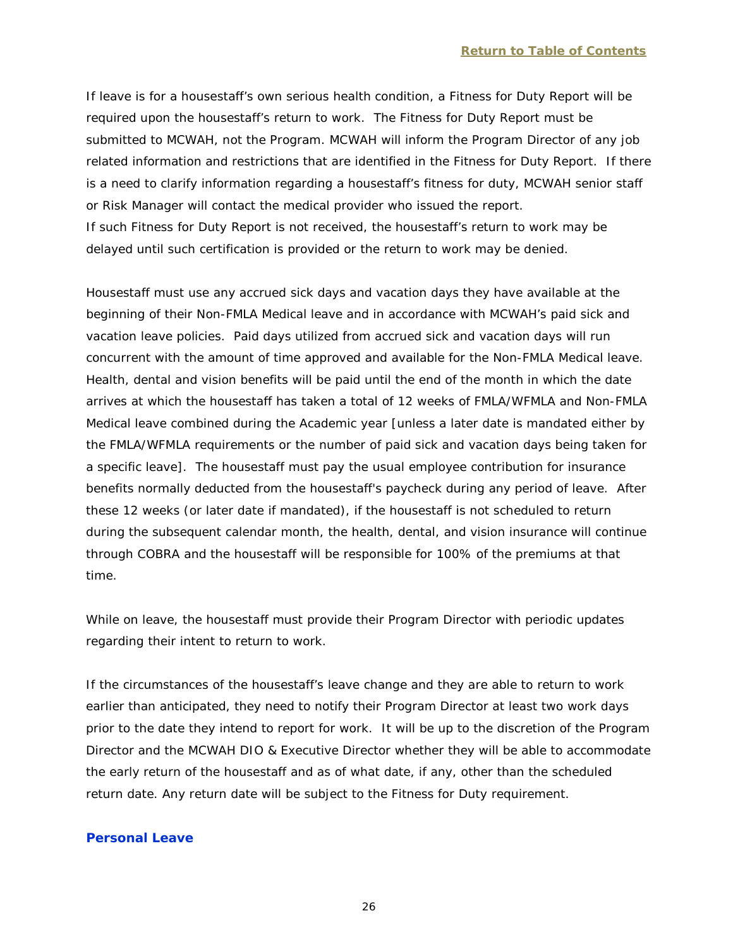If leave is for a housestaff's own serious health condition, a Fitness for Duty Report will be required upon the housestaff's return to work. The Fitness for Duty Report must be submitted to MCWAH, not the Program. MCWAH will inform the Program Director of any job related information and restrictions that are identified in the Fitness for Duty Report. If there is a need to clarify information regarding a housestaff's fitness for duty, MCWAH senior staff or Risk Manager will contact the medical provider who issued the report. If such Fitness for Duty Report is not received, the housestaff's return to work may be delayed until such certification is provided or the return to work may be denied.

Housestaff must use any accrued sick days and vacation days they have available at the beginning of their Non-FMLA Medical leave and in accordance with MCWAH's paid sick and vacation leave policies. Paid days utilized from accrued sick and vacation days will run concurrent with the amount of time approved and available for the Non-FMLA Medical leave. Health, dental and vision benefits will be paid until the end of the month in which the date arrives at which the housestaff has taken a total of 12 weeks of FMLA/WFMLA and Non-FMLA Medical leave combined during the Academic year [unless a later date is mandated either by the FMLA/WFMLA requirements or the number of paid sick and vacation days being taken for a specific leave]. The housestaff must pay the usual employee contribution for insurance benefits normally deducted from the housestaff's paycheck during any period of leave. After these 12 weeks (or later date if mandated), if the housestaff is not scheduled to return during the subsequent calendar month, the health, dental, and vision insurance will continue through COBRA and the housestaff will be responsible for 100% of the premiums at that time.

While on leave, the housestaff must provide their Program Director with periodic updates regarding their intent to return to work.

If the circumstances of the housestaff's leave change and they are able to return to work earlier than anticipated, they need to notify their Program Director at least two work days prior to the date they intend to report for work. It will be up to the discretion of the Program Director and the MCWAH DIO & Executive Director whether they will be able to accommodate the early return of the housestaff and as of what date, if any, other than the scheduled return date. Any return date will be subject to the Fitness for Duty requirement.

#### <span id="page-28-0"></span>**Personal Leave**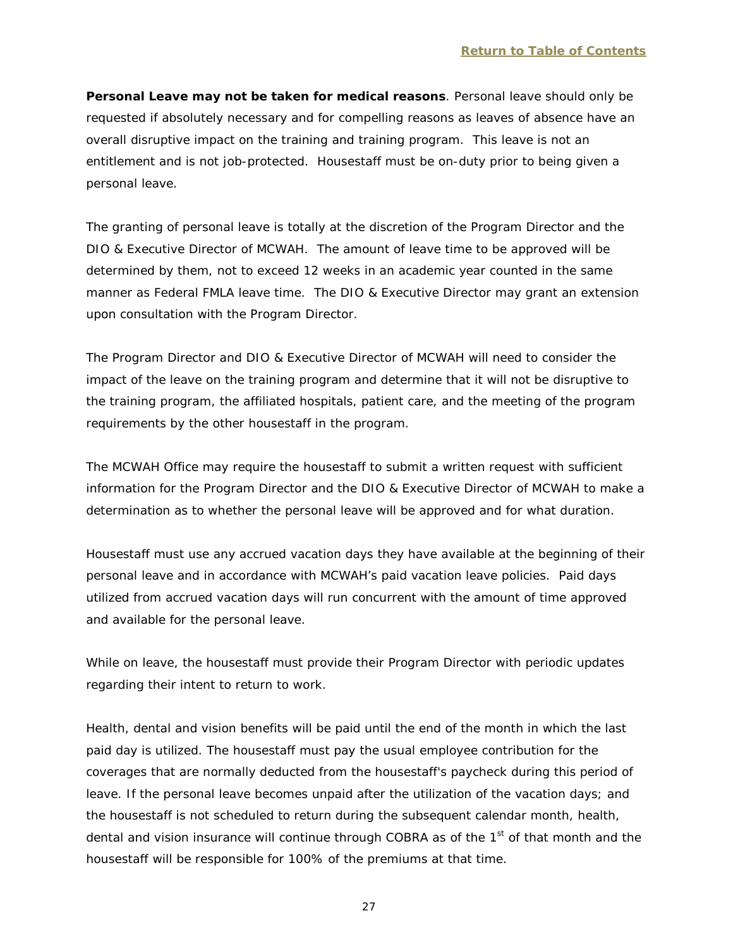**Personal Leave may not be taken for medical reasons**. Personal leave should only be requested if absolutely necessary and for compelling reasons as leaves of absence have an overall disruptive impact on the training and training program. This leave is not an entitlement and is not job-protected. Housestaff must be on-duty prior to being given a personal leave.

The granting of personal leave is totally at the discretion of the Program Director and the DIO & Executive Director of MCWAH. The amount of leave time to be approved will be determined by them, not to exceed 12 weeks in an academic year counted in the same manner as Federal FMLA leave time. The DIO & Executive Director may grant an extension upon consultation with the Program Director.

The Program Director and DIO & Executive Director of MCWAH will need to consider the impact of the leave on the training program and determine that it will not be disruptive to the training program, the affiliated hospitals, patient care, and the meeting of the program requirements by the other housestaff in the program.

The MCWAH Office may require the housestaff to submit a written request with sufficient information for the Program Director and the DIO & Executive Director of MCWAH to make a determination as to whether the personal leave will be approved and for what duration.

Housestaff must use any accrued vacation days they have available at the beginning of their personal leave and in accordance with MCWAH's paid vacation leave policies. Paid days utilized from accrued vacation days will run concurrent with the amount of time approved and available for the personal leave.

While on leave, the housestaff must provide their Program Director with periodic updates regarding their intent to return to work.

Health, dental and vision benefits will be paid until the end of the month in which the last paid day is utilized. The housestaff must pay the usual employee contribution for the coverages that are normally deducted from the housestaff's paycheck during this period of leave. If the personal leave becomes unpaid after the utilization of the vacation days; and the housestaff is not scheduled to return during the subsequent calendar month, health, dental and vision insurance will continue through COBRA as of the 1<sup>st</sup> of that month and the housestaff will be responsible for 100% of the premiums at that time.

27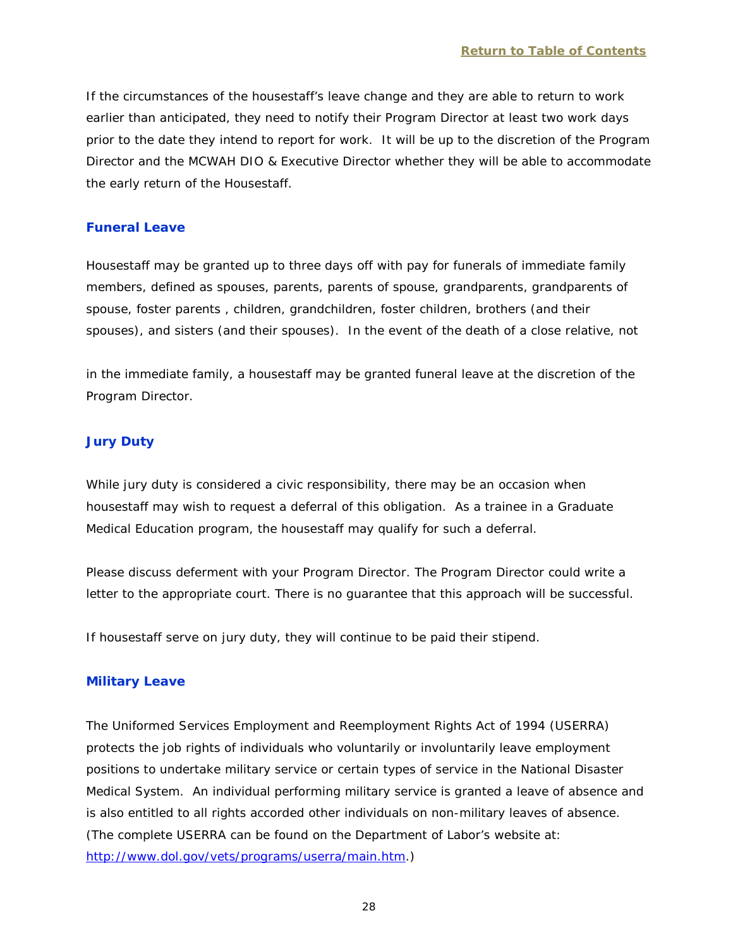If the circumstances of the housestaff's leave change and they are able to return to work earlier than anticipated, they need to notify their Program Director at least two work days prior to the date they intend to report for work. It will be up to the discretion of the Program Director and the MCWAH DIO & Executive Director whether they will be able to accommodate the early return of the Housestaff.

#### <span id="page-30-0"></span>**Funeral Leave**

Housestaff may be granted up to three days off with pay for funerals of immediate family members, defined as spouses, parents, parents of spouse, grandparents, grandparents of spouse, foster parents , children, grandchildren, foster children, brothers (and their spouses), and sisters (and their spouses). In the event of the death of a close relative, not

in the immediate family, a housestaff may be granted funeral leave at the discretion of the Program Director.

#### <span id="page-30-1"></span>**Jury Duty**

While jury duty is considered a civic responsibility, there may be an occasion when housestaff may wish to request a deferral of this obligation. As a trainee in a Graduate Medical Education program, the housestaff may qualify for such a deferral.

Please discuss deferment with your Program Director. The Program Director could write a letter to the appropriate court. There is no guarantee that this approach will be successful.

If housestaff serve on jury duty, they will continue to be paid their stipend.

#### <span id="page-30-2"></span>**Military Leave**

The Uniformed Services Employment and Reemployment Rights Act of 1994 (USERRA) protects the job rights of individuals who voluntarily or involuntarily leave employment positions to undertake military service or certain types of service in the National Disaster Medical System. An individual performing military service is granted a leave of absence and is also entitled to all rights accorded other individuals on non-military leaves of absence. (The complete USERRA can be found on the Department of Labor's website at: [http://www.dol.gov/vets/programs/userra/main.htm.](http://www.dol.gov/vets/programs/userra/main.htm))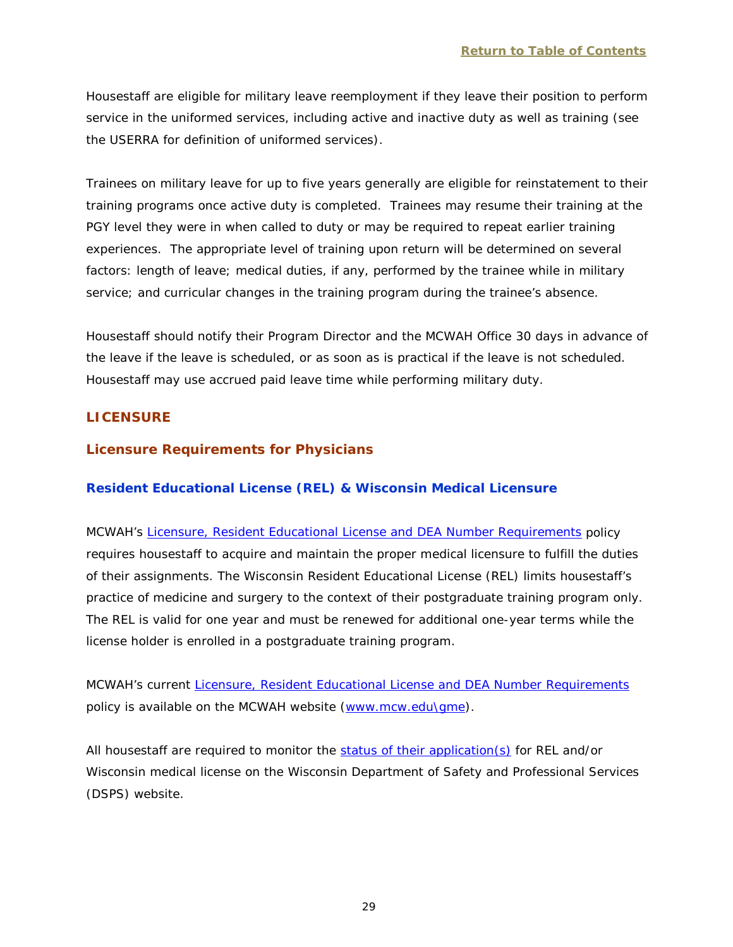Housestaff are eligible for military leave reemployment if they leave their position to perform service in the uniformed services, including active and inactive duty as well as training (see the USERRA for definition of uniformed services).

Trainees on military leave for up to five years generally are eligible for reinstatement to their training programs once active duty is completed. Trainees may resume their training at the PGY level they were in when called to duty or may be required to repeat earlier training experiences. The appropriate level of training upon return will be determined on several factors: length of leave; medical duties, if any, performed by the trainee while in military service; and curricular changes in the training program during the trainee's absence.

Housestaff should notify their Program Director and the MCWAH Office 30 days in advance of the leave if the leave is scheduled, or as soon as is practical if the leave is not scheduled. Housestaff may use accrued paid leave time while performing military duty.

# <span id="page-31-0"></span>**LICENSURE**

# <span id="page-31-1"></span>**Licensure Requirements for Physicians**

## <span id="page-31-2"></span>**Resident Educational License (REL) & Wisconsin Medical Licensure**

MCWAH's [Licensure, Resident Educational License and DEA Number Requirements](http://www.mcw.edu/FileLibrary/Groups/GraduateMedicalEducation/LicensureResidentEducationalLicenseandDEARequirementsforHousestaff_forInternet.pdf) policy requires housestaff to acquire and maintain the proper medical licensure to fulfill the duties of their assignments. The Wisconsin Resident Educational License (REL) limits housestaff's practice of medicine and surgery to the context of their postgraduate training program only. The REL is valid for one year and must be renewed for additional one-year terms while the license holder is enrolled in a postgraduate training program.

MCWAH's current [Licensure, Resident Educational License and DEA Number](http://www.mcw.edu/FileLibrary/Groups/GraduateMedicalEducation/LicensureResidentEducationalLicenseandDEARequirementsforHousestaff_forInternet.pdf) Requirements policy is available on the MCWAH website [\(www.mcw.edu\gme\)](http://www.mcw.edu/gme).

All housestaff are required to monitor the [status of their application\(s\)](http://online.drl.wi.gov/ApplicationStatus/CredentialApplicationStatus.aspx) for REL and/or Wisconsin medical license on the Wisconsin Department of Safety and Professional Services (DSPS) website.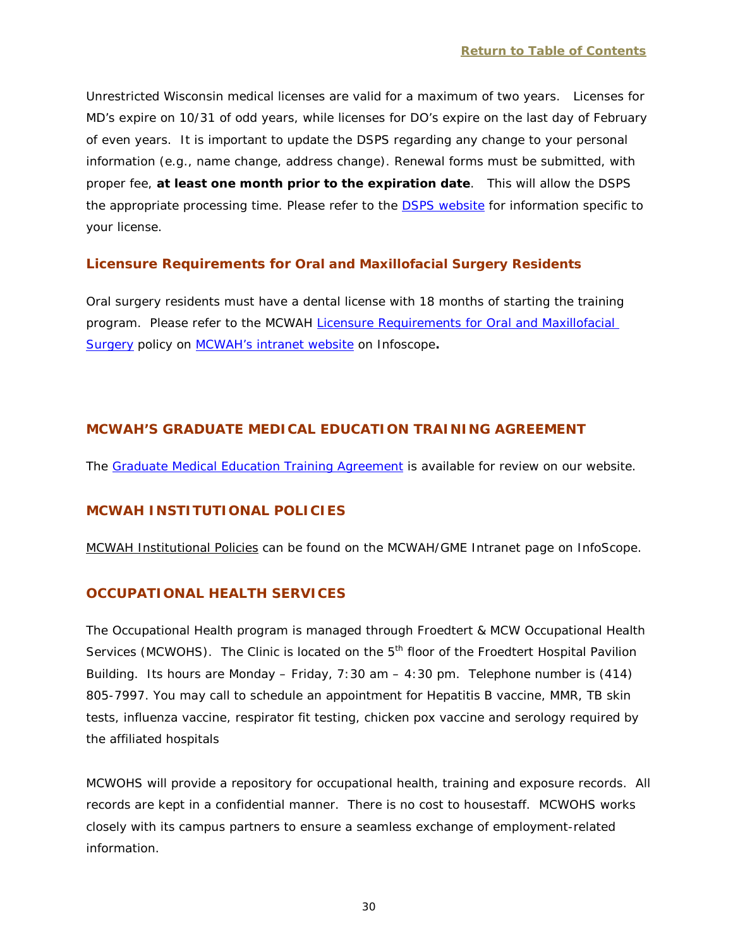Unrestricted Wisconsin medical licenses are valid for a maximum of two years. Licenses for MD's expire on 10/31 of odd years, while licenses for DO's expire on the last day of February of even years. It is important to update the DSPS regarding any change to your personal information (e.g., name change, address change). Renewal forms must be submitted, with proper fee, **at least one month prior to the expiration date**. This will allow the DSPS the appropriate processing time. Please refer to the DSPS [website](https://app.wi.gov/licensesearch) for information specific to your license.

# **Licensure Requirements for Oral and Maxillofacial Surgery Residents**

Oral surgery residents must have a dental license with 18 months of starting the training program. Please refer to the MCWAH [Licensure Requirements for Oral and Maxillofacial](http://infoscope.mcw.edu/GME-Intranet/MCWAH-Institutional-Policies/Licensure-Requirements-OMS.htm)  [Surgery](http://infoscope.mcw.edu/GME-Intranet/MCWAH-Institutional-Policies/Licensure-Requirements-OMS.htm) policy on MCWAH's [intranet website](http://infoscope.mcw.edu/GME-Intranet/Program-Resources.htm) on Infoscope**.**

# <span id="page-32-0"></span>**MCWAH'S GRADUATE MEDICAL EDUCATION TRAINING AGREEMENT**

The [Graduate Medical Education Training Agreement](http://www.mcw.edu/FileLibrary/Groups/GraduateMedicalEducation/Contractbothpages7182011.pdf) is available for review on our website.

# <span id="page-32-1"></span>**MCWAH INSTITUTIONAL POLICIES**

MCWAH Institutional Policies can be found on the MCWAH/GME Intranet page on InfoScope.

# <span id="page-32-2"></span>**OCCUPATIONAL HEALTH SERVICES**

The Occupational Health program is managed through Froedtert & MCW Occupational Health Services (MCWOHS). The Clinic is located on the 5<sup>th</sup> floor of the Froedtert Hospital Pavilion Building. Its hours are Monday – Friday, 7:30 am – 4:30 pm. Telephone number is (414) 805-7997. You may call to schedule an appointment for Hepatitis B vaccine, MMR, TB skin tests, influenza vaccine, respirator fit testing, chicken pox vaccine and serology required by the affiliated hospitals

MCWOHS will provide a repository for occupational health, training and exposure records. All records are kept in a confidential manner. There is no cost to housestaff. MCWOHS works closely with its campus partners to ensure a seamless exchange of employment-related information.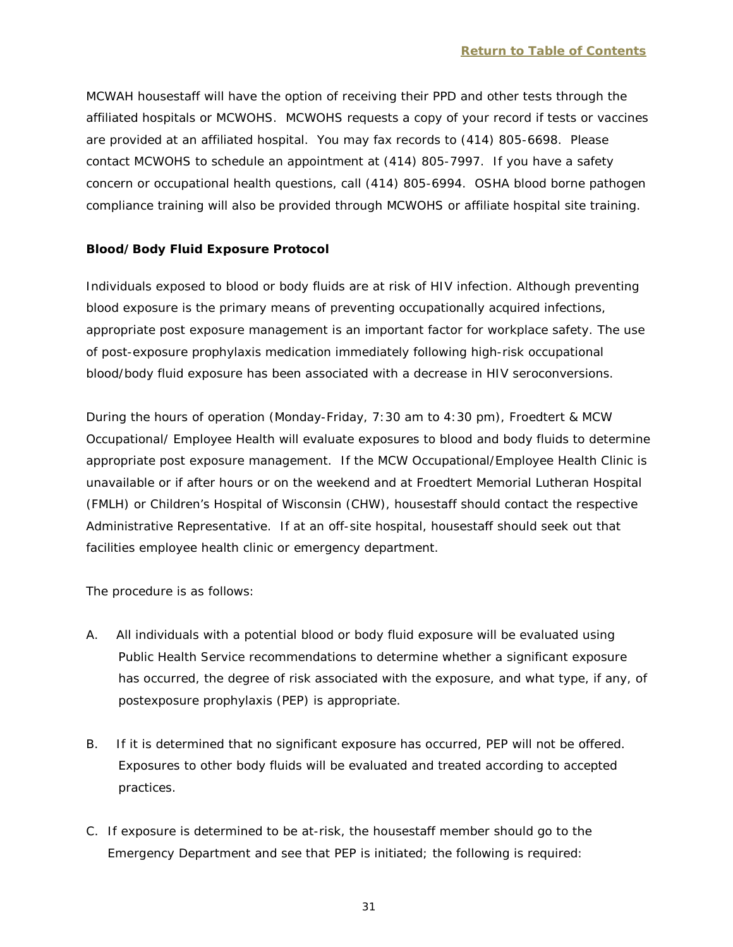MCWAH housestaff will have the option of receiving their PPD and other tests through the affiliated hospitals or MCWOHS. MCWOHS requests a copy of your record if tests or vaccines are provided at an affiliated hospital. You may fax records to (414) 805-6698. Please contact MCWOHS to schedule an appointment at (414) 805-7997. If you have a safety concern or occupational health questions, call (414) 805-6994. OSHA blood borne pathogen compliance training will also be provided through MCWOHS or affiliate hospital site training.

## **Blood/Body Fluid Exposure Protocol**

Individuals exposed to blood or body fluids are at risk of HIV infection. Although preventing blood exposure is the primary means of preventing occupationally acquired infections, appropriate post exposure management is an important factor for workplace safety. The use of post-exposure prophylaxis medication immediately following high-risk occupational blood/body fluid exposure has been associated with a decrease in HIV seroconversions.

During the hours of operation (Monday-Friday, 7:30 am to 4:30 pm), Froedtert & MCW Occupational/ Employee Health will evaluate exposures to blood and body fluids to determine appropriate post exposure management. If the MCW Occupational/Employee Health Clinic is unavailable or if after hours or on the weekend and at Froedtert Memorial Lutheran Hospital (FMLH) or Children's Hospital of Wisconsin (CHW), housestaff should contact the respective Administrative Representative. If at an off-site hospital, housestaff should seek out that facilities employee health clinic or emergency department.

The procedure is as follows:

- A. All individuals with a potential blood or body fluid exposure will be evaluated using Public Health Service recommendations to determine whether a significant exposure has occurred, the degree of risk associated with the exposure, and what type, if any, of postexposure prophylaxis (PEP) is appropriate.
- B. If it is determined that no significant exposure has occurred, PEP will not be offered. Exposures to other body fluids will be evaluated and treated according to accepted practices.
- C. If exposure is determined to be at-risk, the housestaff member should go to the Emergency Department and see that PEP is initiated; the following is required: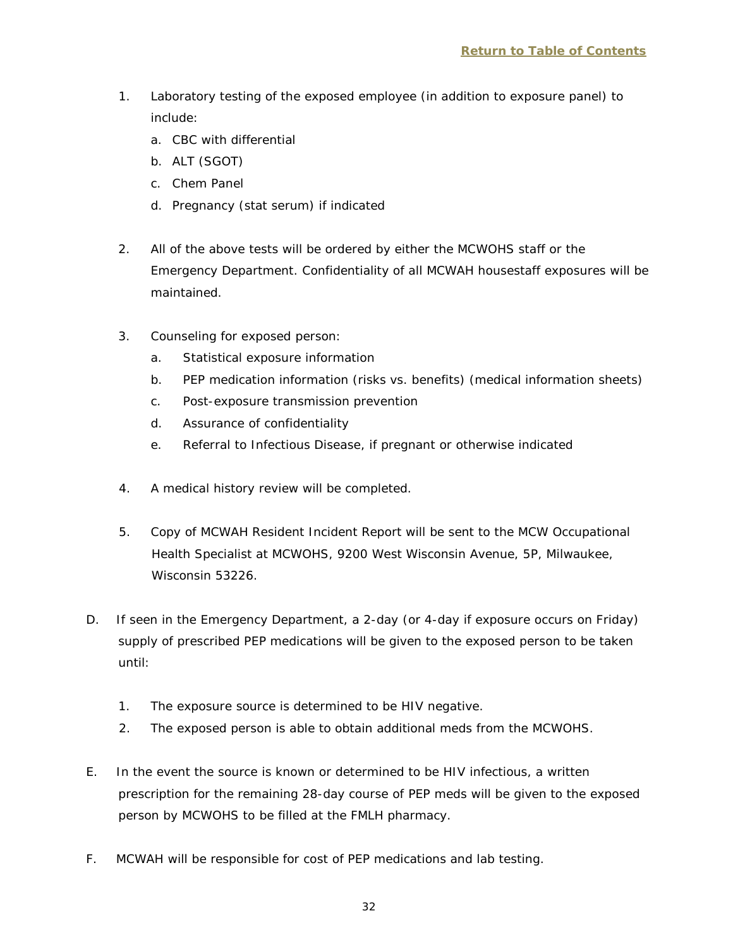- 1. Laboratory testing of the exposed employee (in addition to exposure panel) to include:
	- a. CBC with differential
	- b. ALT (SGOT)
	- c. Chem Panel
	- d. Pregnancy (stat serum) if indicated
- 2. All of the above tests will be ordered by either the MCWOHS staff or the Emergency Department. Confidentiality of all MCWAH housestaff exposures will be maintained.
- 3. Counseling for exposed person:
	- a. Statistical exposure information
	- b. PEP medication information (risks vs. benefits) (medical information sheets)
	- c. Post-exposure transmission prevention
	- d. Assurance of confidentiality
	- e. Referral to Infectious Disease, if pregnant or otherwise indicated
- 4. A medical history review will be completed.
- 5. Copy of MCWAH Resident Incident Report will be sent to the MCW Occupational Health Specialist at MCWOHS, 9200 West Wisconsin Avenue, 5P, Milwaukee, Wisconsin 53226.
- D. If seen in the Emergency Department, a 2-day (or 4-day if exposure occurs on Friday) supply of prescribed PEP medications will be given to the exposed person to be taken until:
	- 1. The exposure source is determined to be HIV negative.
	- 2. The exposed person is able to obtain additional meds from the MCWOHS.
- E. In the event the source is known or determined to be HIV infectious, a written prescription for the remaining 28-day course of PEP meds will be given to the exposed person by MCWOHS to be filled at the FMLH pharmacy.
- F. MCWAH will be responsible for cost of PEP medications and lab testing.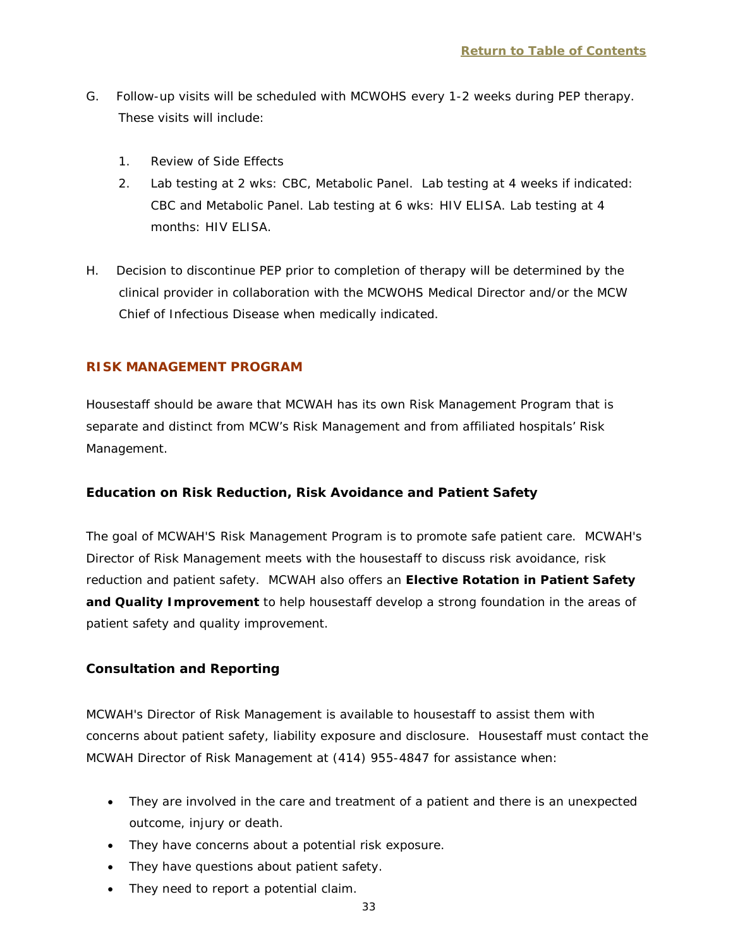- G. Follow-up visits will be scheduled with MCWOHS every 1-2 weeks during PEP therapy. These visits will include:
	- 1. Review of Side Effects
	- 2. Lab testing at 2 wks: CBC, Metabolic Panel. Lab testing at 4 weeks if indicated: CBC and Metabolic Panel. Lab testing at 6 wks: HIV ELISA. Lab testing at 4 months: HIV ELISA.
- H. Decision to discontinue PEP prior to completion of therapy will be determined by the clinical provider in collaboration with the MCWOHS Medical Director and/or the MCW Chief of Infectious Disease when medically indicated.

#### <span id="page-35-0"></span>**RISK MANAGEMENT PROGRAM**

Housestaff should be aware that MCWAH has its own Risk Management Program that is separate and distinct from MCW's Risk Management and from affiliated hospitals' Risk Management.

#### **Education on Risk Reduction, Risk Avoidance and Patient Safety**

The goal of MCWAH'S Risk Management Program is to promote safe patient care. MCWAH's Director of Risk Management meets with the housestaff to discuss risk avoidance, risk reduction and patient safety. MCWAH also offers an **Elective Rotation in Patient Safety and Quality Improvement** to help housestaff develop a strong foundation in the areas of patient safety and quality improvement.

#### **Consultation and Reporting**

MCWAH's Director of Risk Management is available to housestaff to assist them with concerns about patient safety, liability exposure and disclosure. Housestaff must contact the MCWAH Director of Risk Management at (414) 955-4847 for assistance when:

- They are involved in the care and treatment of a patient and there is an unexpected outcome, injury or death.
- They have concerns about a potential risk exposure.
- They have questions about patient safety.
- They need to report a potential claim.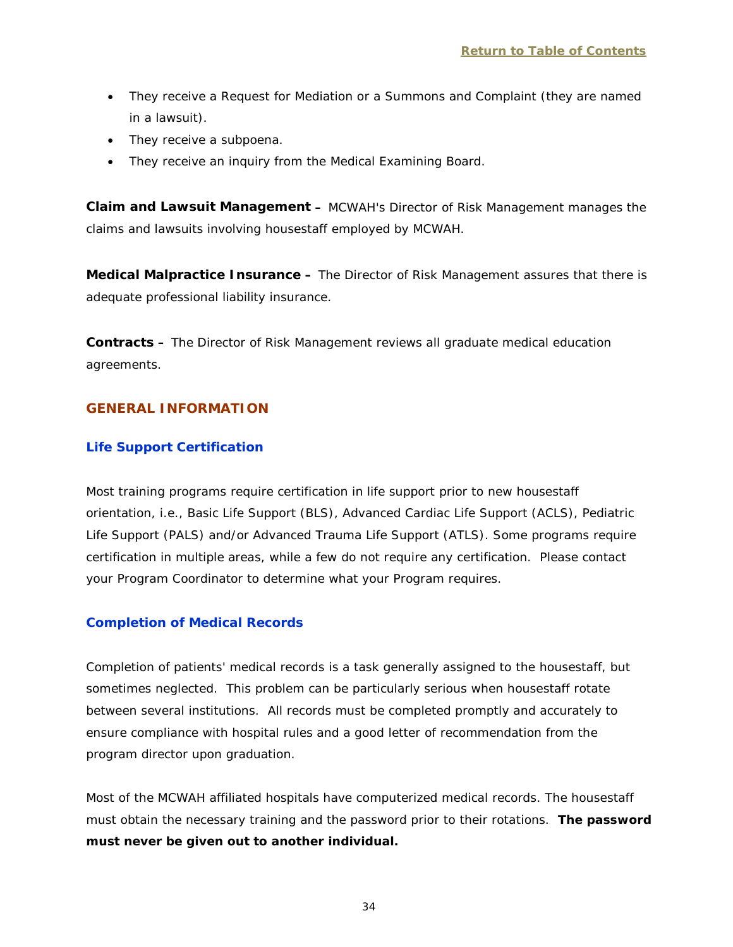- They receive a *Request for Mediation* or a *Summons and Complaint* (they are named in a lawsuit).
- They receive a subpoena.
- They receive an inquiry from the Medical Examining Board.

**Claim and Lawsuit Management –** MCWAH's Director of Risk Management manages the claims and lawsuits involving housestaff employed by MCWAH.

**Medical Malpractice Insurance –** The Director of Risk Management assures that there is adequate professional liability insurance.

**Contracts –** The Director of Risk Management reviews all graduate medical education agreements.

## <span id="page-36-0"></span>**GENERAL INFORMATION**

## <span id="page-36-1"></span>**Life Support Certification**

Most training programs require certification in life support prior to new housestaff orientation, i.e., Basic Life Support (BLS), Advanced Cardiac Life Support (ACLS), Pediatric Life Support (PALS) and/or Advanced Trauma Life Support (ATLS). Some programs require certification in multiple areas, while a few do not require any certification. Please contact your Program Coordinator to determine what your Program requires.

## <span id="page-36-2"></span>**Completion of Medical Records**

Completion of patients' medical records is a task generally assigned to the housestaff, but sometimes neglected. This problem can be particularly serious when housestaff rotate between several institutions. All records must be completed promptly and accurately to ensure compliance with hospital rules and a good letter of recommendation from the program director upon graduation.

Most of the MCWAH affiliated hospitals have computerized medical records. The housestaff must obtain the necessary training and the password prior to their rotations. **The password must never be given out to another individual.**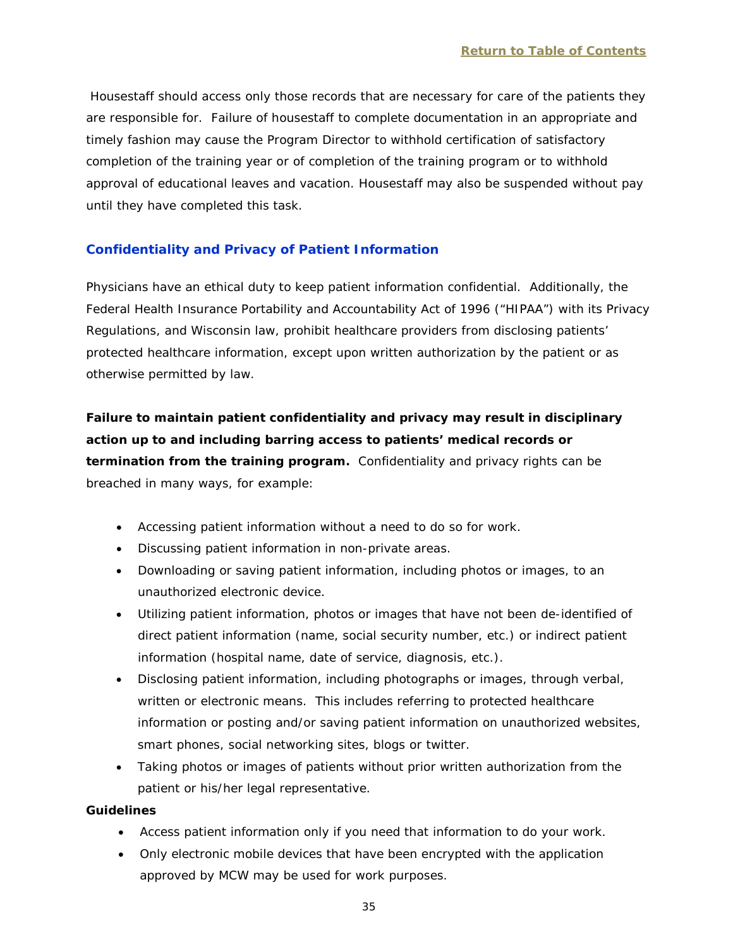Housestaff should access only those records that are necessary for care of the patients they are responsible for. Failure of housestaff to complete documentation in an appropriate and timely fashion may cause the Program Director to withhold certification of satisfactory completion of the training year or of completion of the training program or to withhold approval of educational leaves and vacation. Housestaff may also be suspended without pay until they have completed this task.

# <span id="page-37-0"></span>**Confidentiality and Privacy of Patient Information**

Physicians have an ethical duty to keep patient information confidential. Additionally, the Federal Health Insurance Portability and Accountability Act of 1996 ("HIPAA") with its Privacy Regulations, and Wisconsin law, prohibit healthcare providers from disclosing patients' protected healthcare information, except upon written authorization by the patient or as otherwise permitted by law.

**Failure to maintain patient confidentiality and privacy may result in disciplinary action up to and including barring access to patients' medical records or termination from the training program.** Confidentiality and privacy rights can be breached in many ways, for example:

- Accessing patient information without a need to do so for work.
- Discussing patient information in non-private areas.
- Downloading or saving patient information, including photos or images, to an unauthorized electronic device.
- Utilizing patient information, photos or images that have not been de-identified of direct patient information (name, social security number, etc.) or indirect patient information (hospital name, date of service, diagnosis, etc.).
- Disclosing patient information, including photographs or images, through verbal, written or electronic means. This includes referring to protected healthcare information or posting and/or saving patient information on unauthorized websites, smart phones, social networking sites, blogs or twitter.
- Taking photos or images of patients without prior written authorization from the patient or his/her legal representative.

## **Guidelines**

- Access patient information only if you need that information to do your work.
- Only electronic mobile devices that have been encrypted with the application approved by MCW may be used for work purposes.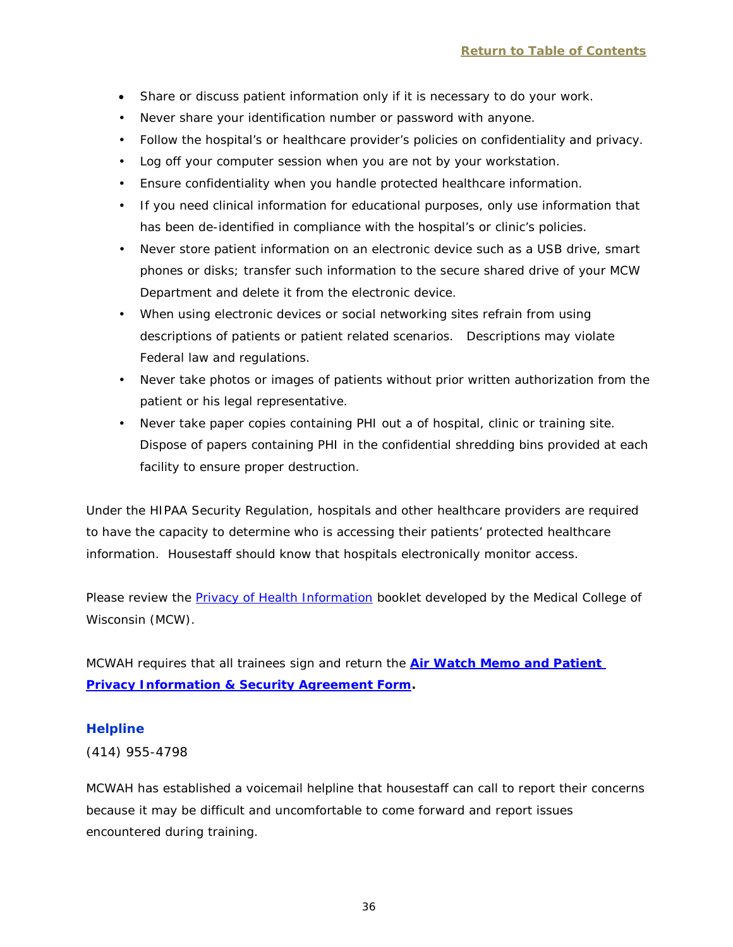- Share or discuss patient information only if it is necessary to do your work.
- Never share your identification number or password with anyone.
- Follow the hospital's or healthcare provider's policies on confidentiality and privacy.
- Log off your computer session when you are not by your workstation.
- Ensure confidentiality when you handle protected healthcare information.
- If you need clinical information for educational purposes, only use information that has been de-identified in compliance with the hospital's or clinic's policies.
- Never store patient information on an electronic device such as a USB drive, smart phones or disks; transfer such information to the secure shared drive of your MCW Department and delete it from the electronic device.
- When using electronic devices or social networking sites refrain from using descriptions of patients or patient related scenarios. Descriptions may violate Federal law and regulations.
- Never take photos or images of patients without prior written authorization from the patient or his legal representative.
- Never take paper copies containing PHI out a of hospital, clinic or training site. Dispose of papers containing PHI in the confidential shredding bins provided at each facility to ensure proper destruction.

Under the HIPAA Security Regulation, hospitals and other healthcare providers are required to have the capacity to determine who is accessing their patients' protected healthcare information. Housestaff should know that hospitals electronically monitor access.

Please review the [Privacy of Health Information](http://infoscope.mcw.edu/FileLibrary/Groups/InfoScopeHIPAA/MCW_HIPAA_Booklet.pdf) booklet developed by the Medical College of Wisconsin (MCW).

MCWAH requires that all trainees sign and return the **[Air Watch Memo and Patient](http://www.mcw.edu/FileLibrary/Groups/GraduateMedicalEducation/FillableForms/AirWatchMemoandPatientInformationPrivacy-SecurityAgreement.pdf) [Privacy Information &](http://www.mcw.edu/FileLibrary/Groups/GraduateMedicalEducation/FillableForms/AirWatchMemoandPatientInformationPrivacy-SecurityAgreement.pdf) Security Agreement Form.**

## <span id="page-38-0"></span>**Helpline**

(414) 955-4798

MCWAH has established a voicemail helpline that housestaff can call to report their concerns because it may be difficult and uncomfortable to come forward and report issues encountered during training.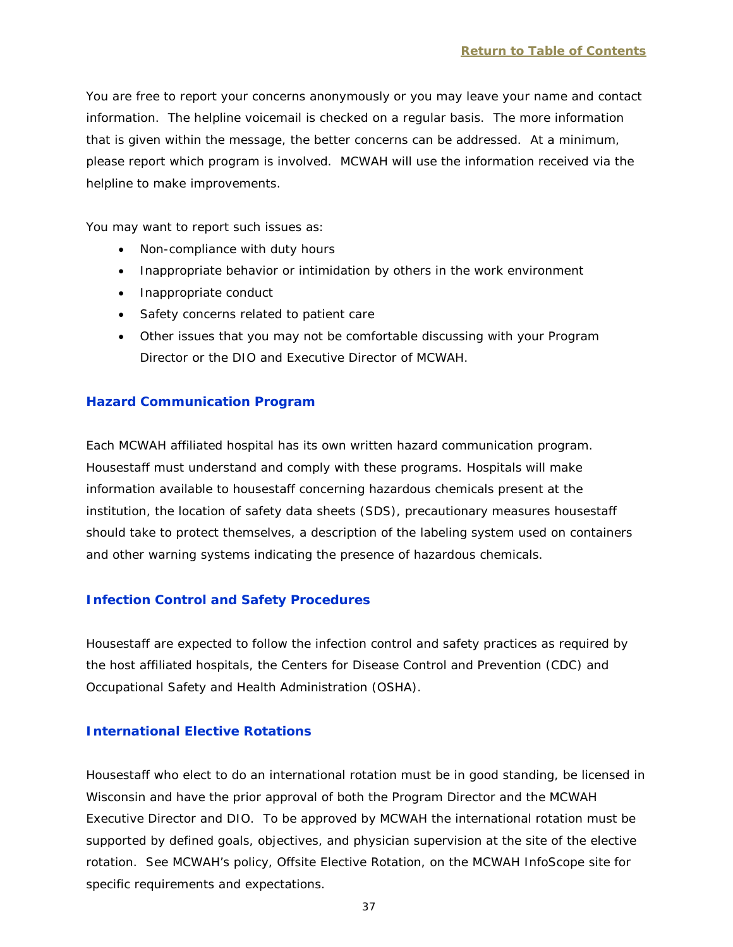You are free to report your concerns anonymously or you may leave your name and contact information. The helpline voicemail is checked on a regular basis. The more information that is given within the message, the better concerns can be addressed. At a minimum, please report which program is involved. MCWAH will use the information received via the helpline to make improvements.

You may want to report such issues as:

- Non-compliance with duty hours
- Inappropriate behavior or intimidation by others in the work environment
- Inappropriate conduct
- Safety concerns related to patient care
- Other issues that you may not be comfortable discussing with your Program Director or the DIO and Executive Director of MCWAH.

## <span id="page-39-0"></span>**Hazard Communication Program**

Each MCWAH affiliated hospital has its own written hazard communication program. Housestaff must understand and comply with these programs. Hospitals will make information available to housestaff concerning hazardous chemicals present at the institution, the location of safety data sheets (SDS), precautionary measures housestaff should take to protect themselves, a description of the labeling system used on containers and other warning systems indicating the presence of hazardous chemicals.

## <span id="page-39-1"></span>**Infection Control and Safety Procedures**

Housestaff are expected to follow the infection control and safety practices as required by the host affiliated hospitals, the Centers for Disease Control and Prevention (CDC) and Occupational Safety and Health Administration (OSHA).

## <span id="page-39-2"></span>**International Elective Rotations**

Housestaff who elect to do an international rotation must be in good standing, be licensed in Wisconsin and have the prior approval of both the Program Director and the MCWAH Executive Director and DIO. To be approved by MCWAH the international rotation must be supported by defined goals, objectives, and physician supervision at the site of the elective rotation. See MCWAH's policy, *Offsite Elective Rotation,* on the MCWAH InfoScope site for specific requirements and expectations.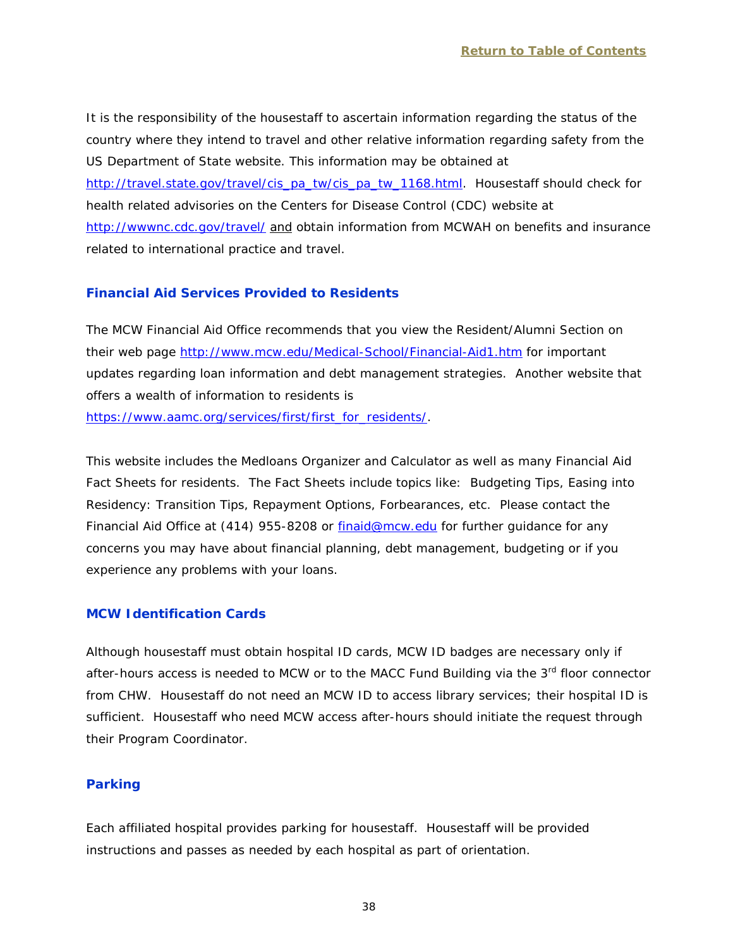It is the responsibility of the housestaff to ascertain information regarding the status of the country where they intend to travel and other relative information regarding safety from the US Department of State website. This information may be obtained at [http://travel.state.gov/travel/cis\\_pa\\_tw/cis\\_pa\\_tw\\_1168.html.](http://travel.state.gov/travel/cis_pa_tw/cis_pa_tw_1168.html) Housestaff should check for health related advisories on the Centers for Disease Control (CDC) website at <http://wwwnc.cdc.gov/travel/> and obtain information from MCWAH on benefits and insurance related to international practice and travel.

# <span id="page-40-0"></span>**Financial Aid Services Provided to Residents**

The MCW Financial Aid Office recommends that you view the Resident/Alumni Section on their web page<http://www.mcw.edu/Medical-School/Financial-Aid1.htm> for important updates regarding loan information and debt management strategies. Another website that offers a wealth of information to residents is [https://www.aamc.org/services/first/first\\_for\\_residents/.](https://www.aamc.org/services/first/first_for_residents/)

This website includes the Medloans Organizer and Calculator as well as many Financial Aid Fact Sheets for residents. The Fact Sheets include topics like: Budgeting Tips, Easing into Residency: Transition Tips, Repayment Options, Forbearances, etc. Please contact the Financial Aid Office at (414) 955-8208 or [finaid@mcw.edu](mailto:finaid@mcw.edu) for further guidance for any concerns you may have about financial planning, debt management, budgeting or if you experience any problems with your loans.

## <span id="page-40-1"></span>**MCW Identification Cards**

Although housestaff must obtain hospital ID cards, MCW ID badges are necessary only if after-hours access is needed to MCW or to the MACC Fund Building via the  $3<sup>rd</sup>$  floor connector from CHW. Housestaff do not need an MCW ID to access library services; their hospital ID is sufficient. Housestaff who need MCW access after-hours should initiate the request through their Program Coordinator.

# <span id="page-40-2"></span>**Parking**

Each affiliated hospital provides parking for housestaff. Housestaff will be provided instructions and passes as needed by each hospital as part of orientation.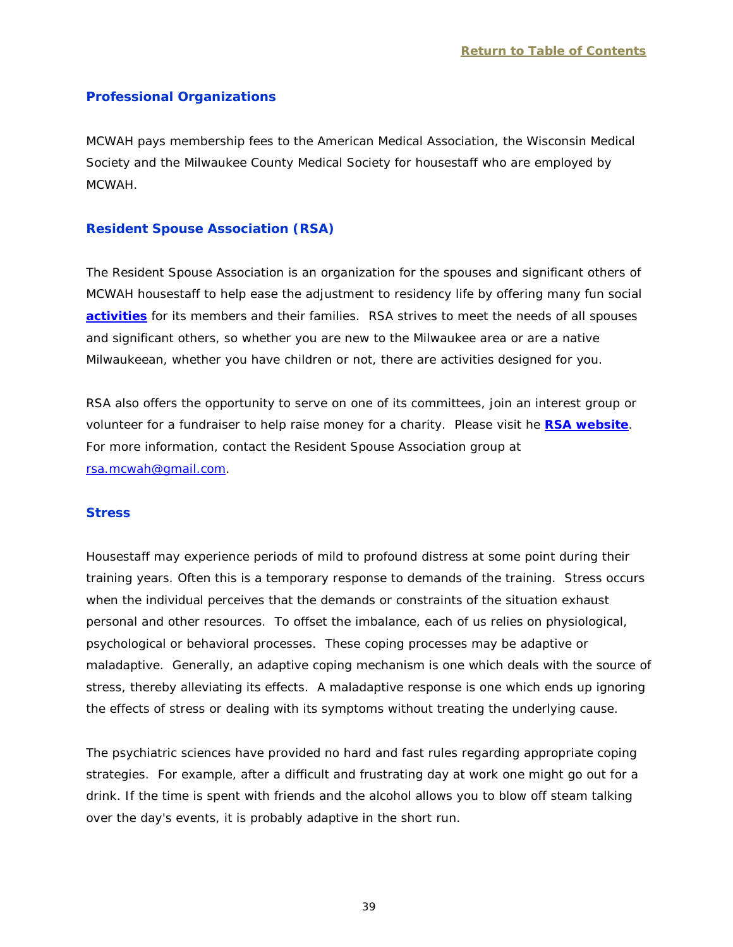## <span id="page-41-0"></span>**Professional Organizations**

MCWAH pays membership fees to the American Medical Association, the Wisconsin Medical Society and the Milwaukee County Medical Society for housestaff who are employed by MCWAH.

#### <span id="page-41-1"></span>**[Resident Spouse Association](http://www.mcw-rsa.org/) (RSA)**

The Resident Spouse Association is an organization for the spouses and significant others of MCWAH housestaff to help ease the adjustment to residency life by offering many fun social **[activities](http://www.mcw.edu/FileLibrary/Groups/ResidentSpouseAssoc/RSACalendarofMemberActivities2016.pdf)** for its members and their families. RSA strives to meet the needs of all spouses and significant others, so whether you are new to the Milwaukee area or are a native Milwaukeean, whether you have children or not, there are activities designed for you.

RSA also offers the opportunity to serve on one of its committees, join an interest group or volunteer for a fundraiser to help raise money for a charity. Please visit he **RSA [website](http://www.mcw.edu/GME/HSLife/RSA.htm)**. For more information, contact the Resident Spouse Association group at [rsa.mcwah@gmail.com.](mailto:rsa.mcwah@gmail.com)

#### <span id="page-41-2"></span>**Stress**

Housestaff may experience periods of mild to profound distress at some point during their training years. Often this is a temporary response to demands of the training. Stress occurs when the individual perceives that the demands or constraints of the situation exhaust personal and other resources. To offset the imbalance, each of us relies on physiological, psychological or behavioral processes. These coping processes may be adaptive or maladaptive. Generally, an adaptive coping mechanism is one which deals with the source of stress, thereby alleviating its effects. A maladaptive response is one which ends up ignoring the effects of stress or dealing with its symptoms without treating the underlying cause.

The psychiatric sciences have provided no hard and fast rules regarding appropriate coping strategies. For example, after a difficult and frustrating day at work one might go out for a drink. If the time is spent with friends and the alcohol allows you to blow off steam talking over the day's events, it is probably adaptive in the short run.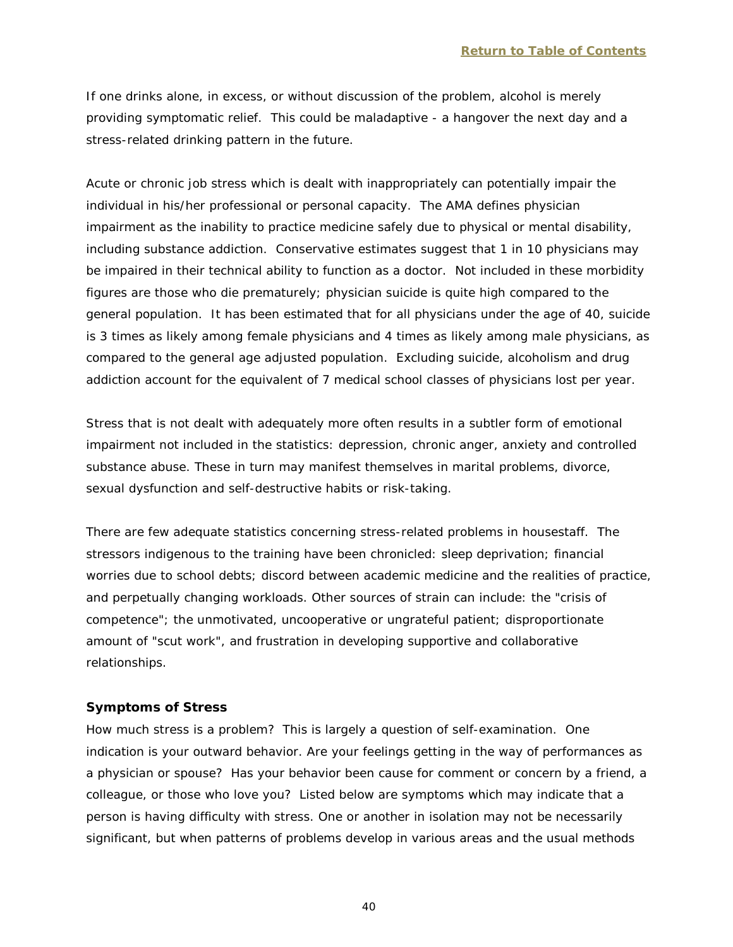If one drinks alone, in excess, or without discussion of the problem, alcohol is merely providing symptomatic relief. This could be maladaptive - a hangover the next day and a stress-related drinking pattern in the future.

Acute or chronic job stress which is dealt with inappropriately can potentially impair the individual in his/her professional or personal capacity. The AMA defines physician impairment as the inability to practice medicine safely due to physical or mental disability, including substance addiction. Conservative estimates suggest that 1 in 10 physicians may be impaired in their technical ability to function as a doctor. Not included in these morbidity figures are those who die prematurely; physician suicide is quite high compared to the general population. It has been estimated that for all physicians under the age of 40, suicide is 3 times as likely among female physicians and 4 times as likely among male physicians, as compared to the general age adjusted population. Excluding suicide, alcoholism and drug addiction account for the equivalent of 7 medical school classes of physicians lost per year.

Stress that is not dealt with adequately more often results in a subtler form of emotional impairment not included in the statistics: depression, chronic anger, anxiety and controlled substance abuse. These in turn may manifest themselves in marital problems, divorce, sexual dysfunction and self-destructive habits or risk-taking.

There are few adequate statistics concerning stress-related problems in housestaff. The stressors indigenous to the training have been chronicled: sleep deprivation; financial worries due to school debts; discord between academic medicine and the realities of practice, and perpetually changing workloads. Other sources of strain can include: the "crisis of competence"; the unmotivated, uncooperative or ungrateful patient; disproportionate amount of "scut work", and frustration in developing supportive and collaborative relationships.

#### **Symptoms of Stress**

How much stress is a problem? This is largely a question of self-examination. One indication is your outward behavior. Are your feelings getting in the way of performances as a physician or spouse? Has your behavior been cause for comment or concern by a friend, a colleague, or those who love you? Listed below are symptoms which may indicate that a person is having difficulty with stress. One or another in isolation may not be necessarily significant, but when patterns of problems develop in various areas and the usual methods

40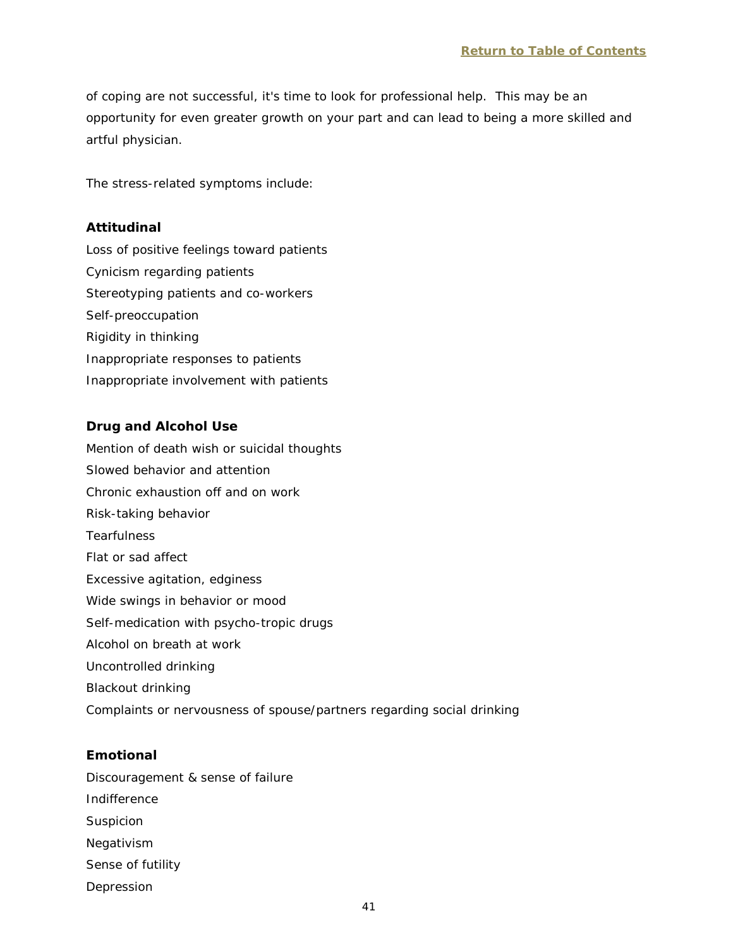of coping are not successful, it's time to look for professional help. This may be an opportunity for even greater growth on your part and can lead to being a more skilled and artful physician.

The stress-related symptoms include:

#### **Attitudinal**

Loss of positive feelings toward patients Cynicism regarding patients Stereotyping patients and co-workers Self-preoccupation Rigidity in thinking Inappropriate responses to patients Inappropriate involvement with patients

#### **Drug and Alcohol Use**

Mention of death wish or suicidal thoughts Slowed behavior and attention Chronic exhaustion off and on work Risk-taking behavior **Tearfulness** Flat or sad affect Excessive agitation, edginess Wide swings in behavior or mood Self-medication with psycho-tropic drugs Alcohol on breath at work Uncontrolled drinking Blackout drinking Complaints or nervousness of spouse/partners regarding social drinking

#### **Emotional**

Discouragement & sense of failure Indifference Suspicion Negativism

- Sense of futility
- Depression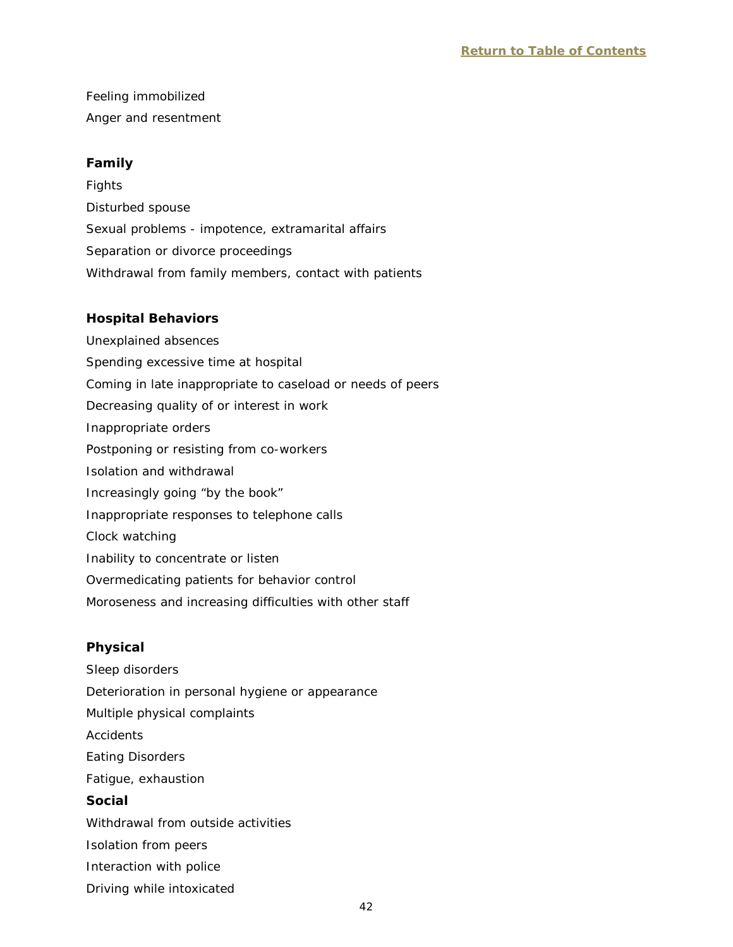Feeling immobilized Anger and resentment

## **Family**

Fights Disturbed spouse Sexual problems - impotence, extramarital affairs Separation or divorce proceedings Withdrawal from family members, contact with patients

## **Hospital Behaviors**

Unexplained absences Spending excessive time at hospital Coming in late inappropriate to caseload or needs of peers Decreasing quality of or interest in work Inappropriate orders Postponing or resisting from co-workers Isolation and withdrawal Increasingly going "by the book" Inappropriate responses to telephone calls Clock watching Inability to concentrate or listen Overmedicating patients for behavior control Moroseness and increasing difficulties with other staff

## **Physical**

Sleep disorders Deterioration in personal hygiene or appearance Multiple physical complaints **Accidents** Eating Disorders Fatigue, exhaustion **Social** Withdrawal from outside activities Isolation from peers Interaction with police Driving while intoxicated